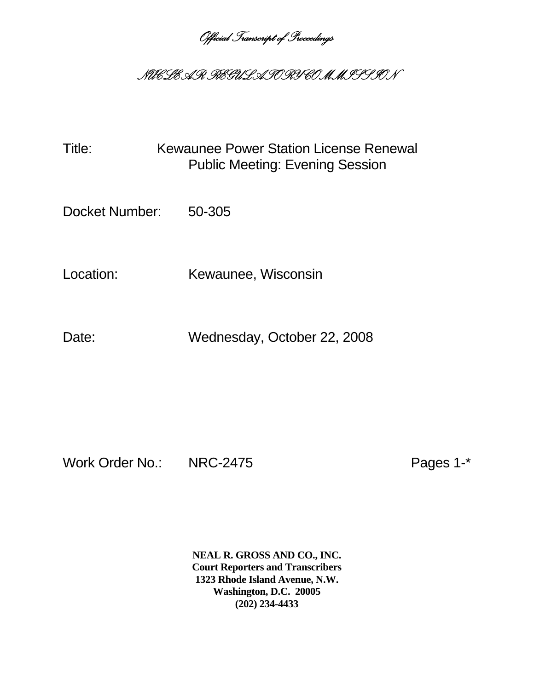*Official Transcript of Proceedings* 

## *NUCLEAR REGULATORY COMMISSION*

Title: Kewaunee Power Station License Renewal Public Meeting: Evening Session

Docket Number: 50-305

Location: Kewaunee, Wisconsin

Date: Wednesday, October 22, 2008

Work Order No.: NRC-2475 Pages 1-\*

**NEAL R. GROSS AND CO., INC. Court Reporters and Transcribers 1323 Rhode Island Avenue, N.W. Washington, D.C. 20005 (202) 234-4433**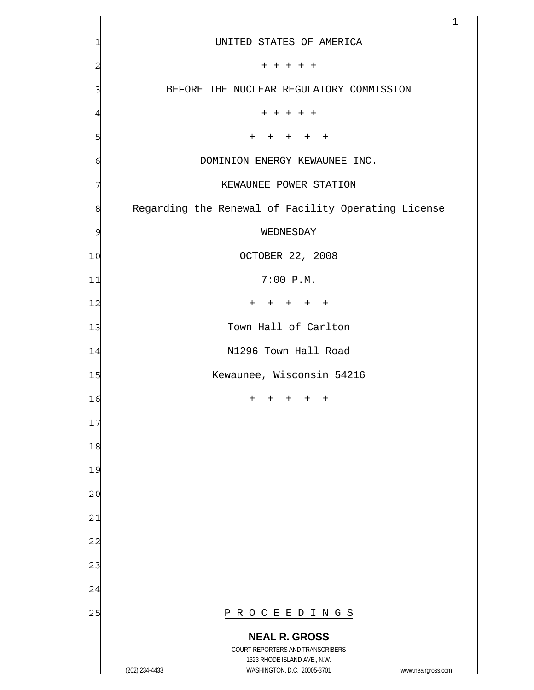|                |                                                                                                                                                                 | $\mathbf 1$ |
|----------------|-----------------------------------------------------------------------------------------------------------------------------------------------------------------|-------------|
| 1              | UNITED STATES OF AMERICA                                                                                                                                        |             |
| $\overline{c}$ | $+ + + + +$                                                                                                                                                     |             |
| 3              | BEFORE THE NUCLEAR REGULATORY COMMISSION                                                                                                                        |             |
| $\overline{4}$ | + + + + +                                                                                                                                                       |             |
| 5              | $+$<br>$^{+}$<br>$+$<br>$+$<br>$^{+}$                                                                                                                           |             |
| 6              | DOMINION ENERGY KEWAUNEE INC.                                                                                                                                   |             |
| 7              | KEWAUNEE POWER STATION                                                                                                                                          |             |
| 8              | Regarding the Renewal of Facility Operating License                                                                                                             |             |
| 9              | WEDNESDAY                                                                                                                                                       |             |
| 10             | OCTOBER 22, 2008                                                                                                                                                |             |
| 11             | 7:00 P.M.                                                                                                                                                       |             |
| 12             | $\pm$<br>$^{+}$<br>$\pm$<br>$+$ $+$                                                                                                                             |             |
| 13             | Town Hall of Carlton                                                                                                                                            |             |
| 14             | N1296 Town Hall Road                                                                                                                                            |             |
| 15             | Kewaunee, Wisconsin 54216                                                                                                                                       |             |
| 16             | $^{+}$<br>$^{+}$<br>$^{+}$<br>$^{+}$<br>$^{+}$                                                                                                                  |             |
| 17             |                                                                                                                                                                 |             |
| 18             |                                                                                                                                                                 |             |
| 19             |                                                                                                                                                                 |             |
| 20             |                                                                                                                                                                 |             |
| 21             |                                                                                                                                                                 |             |
| 22             |                                                                                                                                                                 |             |
| 23             |                                                                                                                                                                 |             |
| 24             |                                                                                                                                                                 |             |
| 25             | PROCEEDINGS                                                                                                                                                     |             |
|                | <b>NEAL R. GROSS</b><br>COURT REPORTERS AND TRANSCRIBERS<br>1323 RHODE ISLAND AVE., N.W.<br>(202) 234-4433<br>WASHINGTON, D.C. 20005-3701<br>www.nealrgross.com |             |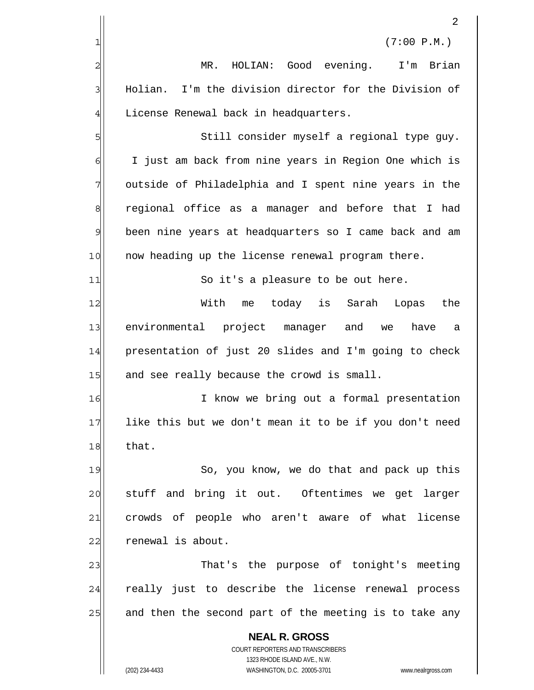|                | 2                                                                                                   |
|----------------|-----------------------------------------------------------------------------------------------------|
| 1              | (7:00 P.M.)                                                                                         |
| $\overline{c}$ | HOLIAN: Good evening.<br>Brian<br>MR.<br>I'm                                                        |
| 3              | Holian. I'm the division director for the Division of                                               |
| 4              | License Renewal back in headquarters.                                                               |
| 5              | Still consider myself a regional type guy.                                                          |
| 6              | I just am back from nine years in Region One which is                                               |
| 7              | outside of Philadelphia and I spent nine years in the                                               |
| 8              | regional office as a manager and before that I had                                                  |
| 9              | been nine years at headquarters so I came back and am                                               |
| 10             | now heading up the license renewal program there.                                                   |
| 11             | So it's a pleasure to be out here.                                                                  |
| 12             | With<br>today is<br>Sarah<br>Lopas<br>the<br>me                                                     |
| 13             | environmental project manager and<br>have<br>we<br>а                                                |
| 14             | presentation of just 20 slides and I'm going to check                                               |
| 15             | and see really because the crowd is small.                                                          |
| 16             | know we bring out a formal presentation<br>I                                                        |
| 17             | like this but we don't mean it to be if you don't need                                              |
| 18             | that.                                                                                               |
| 19             | So, you know, we do that and pack up this                                                           |
| 20             | and bring it out. Oftentimes we get larger<br>stuff                                                 |
| 21             | crowds of people who aren't aware of what license                                                   |
| 22             | renewal is about.                                                                                   |
| 23             | That's the purpose of tonight's meeting                                                             |
| 24             | really just to describe the license renewal process                                                 |
| 25             | and then the second part of the meeting is to take any                                              |
|                | <b>NEAL R. GROSS</b>                                                                                |
|                | COURT REPORTERS AND TRANSCRIBERS                                                                    |
|                | 1323 RHODE ISLAND AVE., N.W.<br>(202) 234-4433<br>WASHINGTON, D.C. 20005-3701<br>www.nealrgross.com |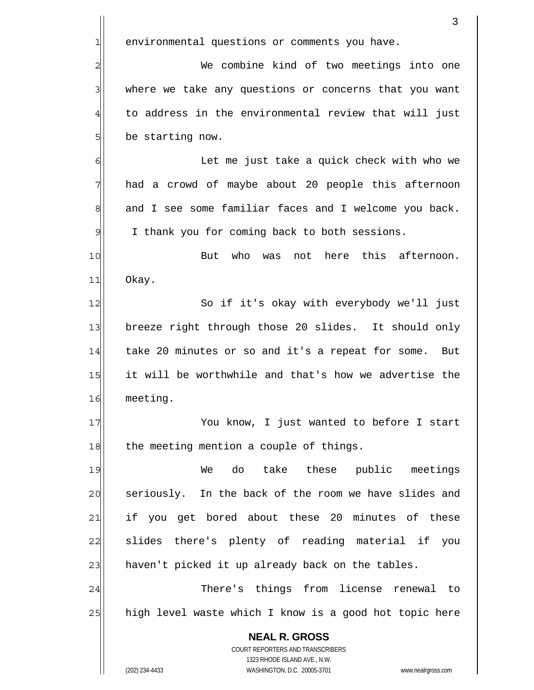|              | 3                                                                                                   |
|--------------|-----------------------------------------------------------------------------------------------------|
| $\mathbf{1}$ | environmental questions or comments you have.                                                       |
| 2            | We combine kind of two meetings into one                                                            |
| 3            | where we take any questions or concerns that you want                                               |
| 4            | to address in the environmental review that will just                                               |
| 5            | be starting now.                                                                                    |
| 6            | Let me just take a quick check with who we                                                          |
| 7            | had a crowd of maybe about 20 people this afternoon                                                 |
| 8            | and I see some familiar faces and I welcome you back.                                               |
| 9            | I thank you for coming back to both sessions.                                                       |
| 10           | not here this afternoon.<br>But who<br>was                                                          |
| 11           | Okay.                                                                                               |
| 12           | So if it's okay with everybody we'll just                                                           |
| 13           | breeze right through those 20 slides. It should only                                                |
| 14           | take 20 minutes or so and it's a repeat for some.<br>But                                            |
| 15           | it will be worthwhile and that's how we advertise the                                               |
| 16           | meeting.                                                                                            |
| 17           | You know, I just wanted to before I start                                                           |
| 18           | the meeting mention a couple of things.                                                             |
| 19           | do take these public meetings<br>We                                                                 |
| 20           | seriously. In the back of the room we have slides and                                               |
| 21           | if you get bored about these 20 minutes of these                                                    |
| 22           | there's plenty of reading material if<br>slides<br>you                                              |
| 23           | haven't picked it up already back on the tables.                                                    |
| 24           | There's things from license renewal to                                                              |
| 25           | high level waste which I know is a good hot topic here                                              |
|              | <b>NEAL R. GROSS</b>                                                                                |
|              | COURT REPORTERS AND TRANSCRIBERS                                                                    |
|              | 1323 RHODE ISLAND AVE., N.W.<br>(202) 234-4433<br>WASHINGTON, D.C. 20005-3701<br>www.nealrgross.com |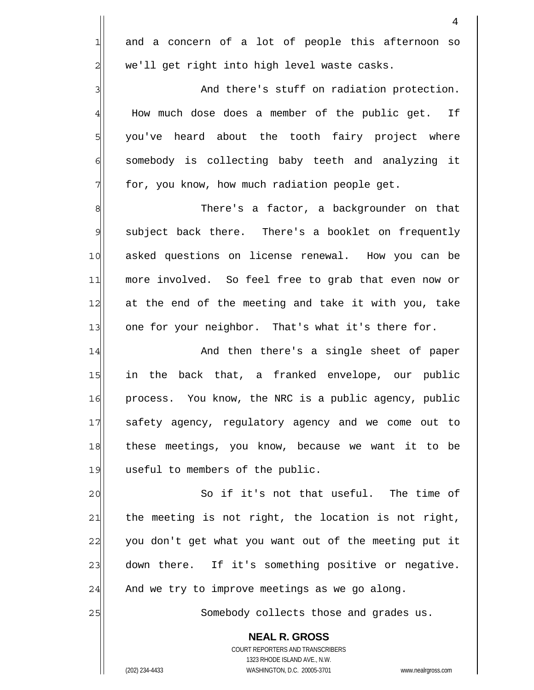|                         | 4                                                                       |
|-------------------------|-------------------------------------------------------------------------|
| $\mathbf{1}$            | and a concern of a lot of people this afternoon so                      |
| $\overline{\mathbf{c}}$ | we'll get right into high level waste casks.                            |
| 3                       | And there's stuff on radiation protection.                              |
| $\overline{4}$          | How much dose does a member of the public get.<br>Ιf                    |
| 5                       | you've heard about the tooth fairy project where                        |
| 6                       | somebody is collecting baby teeth and analyzing it                      |
| 7                       | for, you know, how much radiation people get.                           |
| 8                       | There's a factor, a backgrounder on that                                |
| 9                       | subject back there. There's a booklet on frequently                     |
| 10                      | asked questions on license renewal. How you can be                      |
| 11                      | more involved. So feel free to grab that even now or                    |
| 12                      | at the end of the meeting and take it with you, take                    |
| 13                      | one for your neighbor. That's what it's there for.                      |
| 14                      | And then there's a single sheet of paper                                |
| 15                      | back that, a franked envelope, our public<br>in<br>the                  |
| 16                      | process. You know, the NRC is a public agency, public                   |
| 17                      | safety agency, regulatory agency and we come out to                     |
| 18                      | these meetings, you know, because we want it to be                      |
| 19                      | useful to members of the public.                                        |
| 20                      | So if it's not that useful. The time of                                 |
| 21                      | the meeting is not right, the location is not right,                    |
| 22                      | you don't get what you want out of the meeting put it                   |
| 23                      | down there. If it's something positive or negative.                     |
| 24                      | And we try to improve meetings as we go along.                          |
| 25                      | Somebody collects those and grades us.                                  |
|                         | <b>NEAL R. GROSS</b>                                                    |
|                         | <b>COURT REPORTERS AND TRANSCRIBERS</b><br>1323 RHODE ISLAND AVE., N.W. |
|                         | WASHINGTON, D.C. 20005-3701<br>(202) 234-4433<br>www.nealrgross.com     |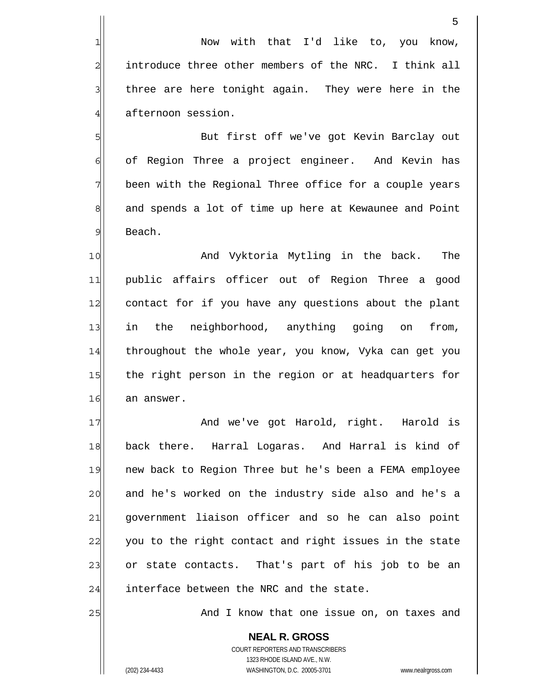Now with that I'd like to, you know, introduce three other members of the NRC. I think all three are here tonight again. They were here in the afternoon session.

 But first off we've got Kevin Barclay out of Region Three a project engineer. And Kevin has been with the Regional Three office for a couple years and spends a lot of time up here at Kewaunee and Point Beach.

10 11 12 13 14 15 16 And Vyktoria Mytling in the back. The public affairs officer out of Region Three a good contact for if you have any questions about the plant in the neighborhood, anything going on from, throughout the whole year, you know, Vyka can get you the right person in the region or at headquarters for an answer.

17 18 19 20 21 22 23 24 And we've got Harold, right. Harold is back there. Harral Logaras. And Harral is kind of new back to Region Three but he's been a FEMA employee and he's worked on the industry side also and he's a government liaison officer and so he can also point you to the right contact and right issues in the state or state contacts. That's part of his job to be an interface between the NRC and the state.

And I know that one issue on, on taxes and

**NEAL R. GROSS** COURT REPORTERS AND TRANSCRIBERS 1323 RHODE ISLAND AVE., N.W. (202) 234-4433 WASHINGTON, D.C. 20005-3701 www.nealrgross.com

25

1

2

3

4

5

6

7

8

9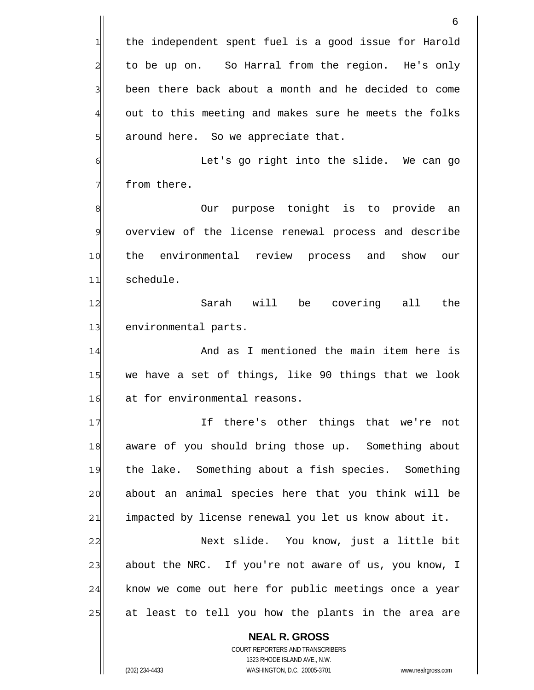**NEAL R. GROSS** COURT REPORTERS AND TRANSCRIBERS 1323 RHODE ISLAND AVE., N.W. (202) 234-4433 WASHINGTON, D.C. 20005-3701 www.nealrgross.com 6 the independent spent fuel is a good issue for Harold to be up on. So Harral from the region. He's only been there back about a month and he decided to come out to this meeting and makes sure he meets the folks around here. So we appreciate that. 1 2 3 4 5 6 7 8 9 10 11 12 13 14 15 16 17 18 19 20 21 22 23 24 25 Let's go right into the slide. We can go from there. Our purpose tonight is to provide an overview of the license renewal process and describe the environmental review process and show our schedule. Sarah will be covering all the environmental parts. And as I mentioned the main item here is we have a set of things, like 90 things that we look at for environmental reasons. If there's other things that we're not aware of you should bring those up. Something about the lake. Something about a fish species. Something about an animal species here that you think will be impacted by license renewal you let us know about it. Next slide. You know, just a little bit about the NRC. If you're not aware of us, you know, I know we come out here for public meetings once a year at least to tell you how the plants in the area are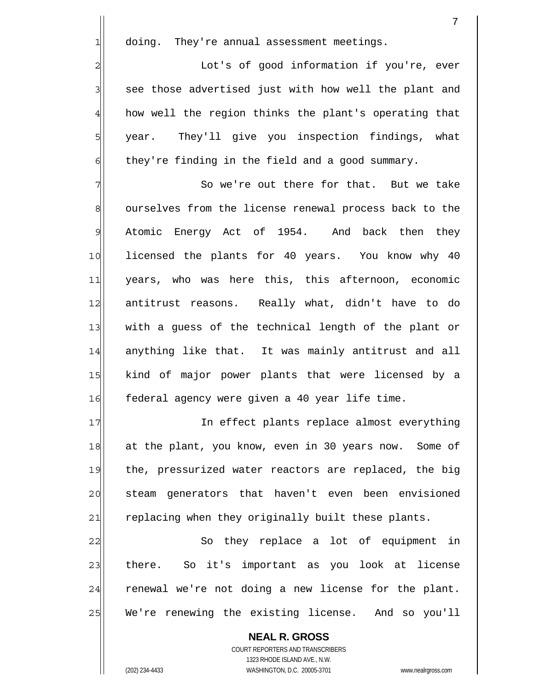| doim |
|------|
|      |

2

3

4

5

6

1 doing. They're annual assessment meetings.

 Lot's of good information if you're, ever see those advertised just with how well the plant and how well the region thinks the plant's operating that year. They'll give you inspection findings, what they're finding in the field and a good summary.

7 8 9 10 11 12 13 14 15 16 So we're out there for that. But we take ourselves from the license renewal process back to the Atomic Energy Act of 1954. And back then they licensed the plants for 40 years. You know why 40 years, who was here this, this afternoon, economic antitrust reasons. Really what, didn't have to do with a guess of the technical length of the plant or anything like that. It was mainly antitrust and all kind of major power plants that were licensed by a federal agency were given a 40 year life time.

17 18 19 20 21 In effect plants replace almost everything at the plant, you know, even in 30 years now. Some of the, pressurized water reactors are replaced, the big steam generators that haven't even been envisioned replacing when they originally built these plants.

22 23 24 25 So they replace a lot of equipment in there. So it's important as you look at license renewal we're not doing a new license for the plant. We're renewing the existing license. And so you'll

**NEAL R. GROSS** COURT REPORTERS AND TRANSCRIBERS 1323 RHODE ISLAND AVE., N.W. (202) 234-4433 WASHINGTON, D.C. 20005-3701 www.nealrgross.com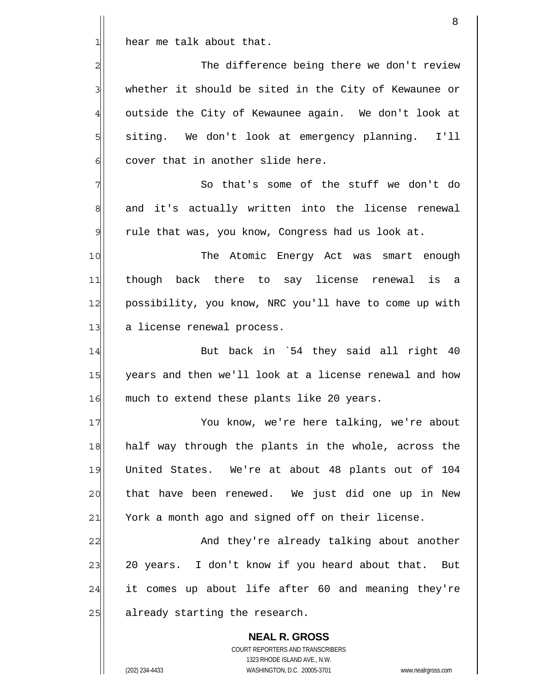1| hear me talk about that.

2

3

4

5

6

7

8

9

| The difference being there we don't review            |
|-------------------------------------------------------|
| whether it should be sited in the City of Kewaunee or |
| outside the City of Kewaunee again. We don't look at  |
| siting. We don't look at emergency planning. I'll     |
| cover that in another slide here.                     |

 So that's some of the stuff we don't do and it's actually written into the license renewal rule that was, you know, Congress had us look at.

10 11 12 13 The Atomic Energy Act was smart enough though back there to say license renewal is a possibility, you know, NRC you'll have to come up with a license renewal process.

14 15 16 But back in `54 they said all right 40 years and then we'll look at a license renewal and how much to extend these plants like 20 years.

17 18 19 20 21 You know, we're here talking, we're about half way through the plants in the whole, across the United States. We're at about 48 plants out of 104 that have been renewed. We just did one up in New York a month ago and signed off on their license.

22 23 24 25 And they're already talking about another 20 years. I don't know if you heard about that. But it comes up about life after 60 and meaning they're already starting the research.

**NEAL R. GROSS** COURT REPORTERS AND TRANSCRIBERS 1323 RHODE ISLAND AVE., N.W. (202) 234-4433 WASHINGTON, D.C. 20005-3701 www.nealrgross.com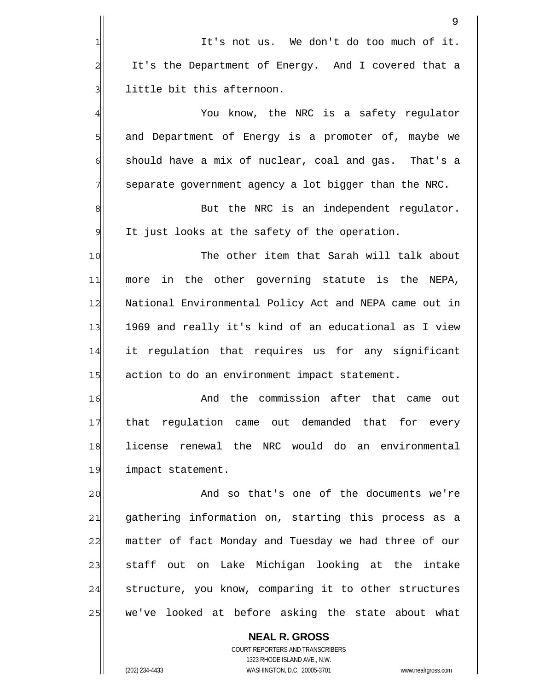|                 | 9                                                      |
|-----------------|--------------------------------------------------------|
| 1               | It's not us. We don't do too much of it.               |
| 2               | It's the Department of Energy. And I covered that a    |
| 3               | little bit this afternoon.                             |
| $\overline{4}$  | You know, the NRC is a safety regulator                |
| 5               | and Department of Energy is a promoter of, maybe we    |
| 6               | should have a mix of nuclear, coal and gas. That's a   |
| 7               | separate government agency a lot bigger than the NRC.  |
| 8               | But the NRC is an independent regulator.               |
| 9               | It just looks at the safety of the operation.          |
| 10              | The other item that Sarah will talk about              |
| 11              | more in the other governing statute is the NEPA,       |
| 12              | National Environmental Policy Act and NEPA came out in |
| 13              | 1969 and really it's kind of an educational as I view  |
| 14              | it regulation that requires us for any significant     |
| 15              | action to do an environment impact statement.          |
| 16              | And the commission after that came<br>out              |
| 17              | that regulation came out demanded that<br>for every    |
| 18              | license renewal the NRC would do an environmental      |
| 19              | impact statement.                                      |
| 20              | And so that's one of the documents we're               |
| $\overline{21}$ | gathering information on, starting this process as a   |
| 22              | matter of fact Monday and Tuesday we had three of our  |
| 23              | staff out on Lake Michigan looking at the intake       |
| 24              | structure, you know, comparing it to other structures  |
| 25              | we've looked at before asking the state about what     |
|                 | <b>NEAL R. GROSS</b>                                   |

COURT REPORTERS AND TRANSCRIBERS 1323 RHODE ISLAND AVE., N.W. (202) 234-4433 WASHINGTON, D.C. 20005-3701 www.nealrgross.com

 $\mathsf{II}$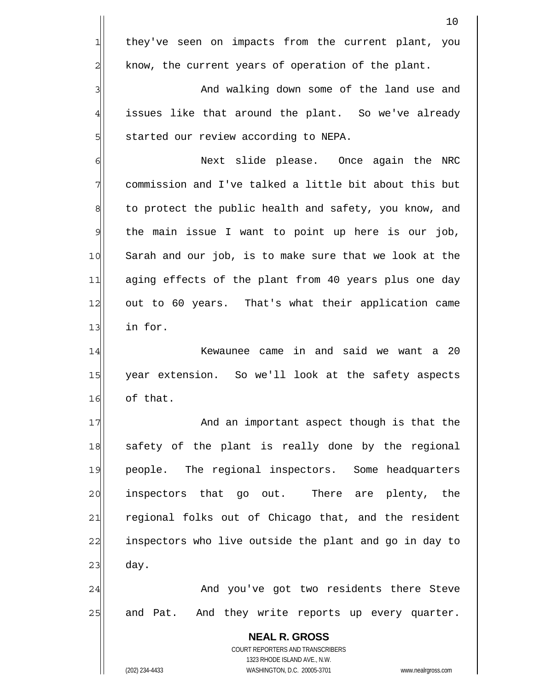they've seen on impacts from the current plant, you know, the current years of operation of the plant.

 And walking down some of the land use and issues like that around the plant. So we've already started our review according to NEPA.

6 7 8 9 10 11 12 13 Next slide please. Once again the NRC commission and I've talked a little bit about this but to protect the public health and safety, you know, and the main issue I want to point up here is our job, Sarah and our job, is to make sure that we look at the aging effects of the plant from 40 years plus one day out to 60 years. That's what their application came in for.

14 15 16 Kewaunee came in and said we want a 20 year extension. So we'll look at the safety aspects of that.

17 18 19 20 21 22 23 And an important aspect though is that the safety of the plant is really done by the regional people. The regional inspectors. Some headquarters inspectors that go out. There are plenty, the regional folks out of Chicago that, and the resident inspectors who live outside the plant and go in day to day.

24 25 And you've got two residents there Steve and Pat. And they write reports up every quarter.

COURT REPORTERS AND TRANSCRIBERS 1323 RHODE ISLAND AVE., N.W. (202) 234-4433 WASHINGTON, D.C. 20005-3701 www.nealrgross.com

**NEAL R. GROSS**

1

2

3

4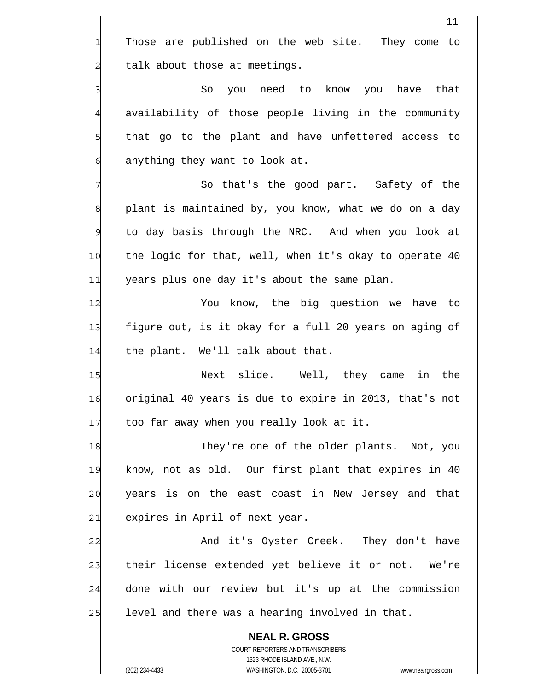**NEAL R. GROSS** COURT REPORTERS AND TRANSCRIBERS 1323 RHODE ISLAND AVE., N.W. 11 1 2 3 4 5 6 7 8 9 10 11 12 13 14 15 16 17 18 19 20 21 22 23 24 25 Those are published on the web site. They come to talk about those at meetings. So you need to know you have that availability of those people living in the community that go to the plant and have unfettered access to anything they want to look at. So that's the good part. Safety of the plant is maintained by, you know, what we do on a day to day basis through the NRC. And when you look at the logic for that, well, when it's okay to operate 40 years plus one day it's about the same plan. You know, the big question we have to figure out, is it okay for a full 20 years on aging of the plant. We'll talk about that. Next slide. Well, they came in the original 40 years is due to expire in 2013, that's not too far away when you really look at it. They're one of the older plants. Not, you know, not as old. Our first plant that expires in 40 years is on the east coast in New Jersey and that expires in April of next year. And it's Oyster Creek. They don't have their license extended yet believe it or not. We're done with our review but it's up at the commission level and there was a hearing involved in that.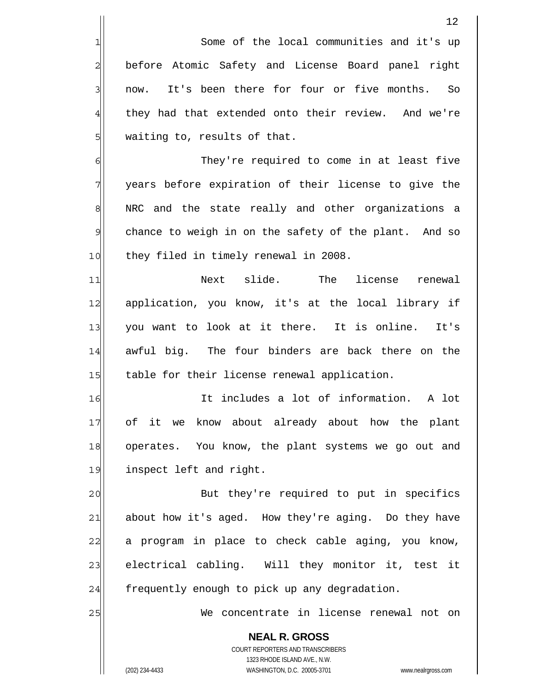Some of the local communities and it's up before Atomic Safety and License Board panel right now. It's been there for four or five months. So they had that extended onto their review. And we're waiting to, results of that.

 They're required to come in at least five years before expiration of their license to give the NRC and the state really and other organizations a chance to weigh in on the safety of the plant. And so they filed in timely renewal in 2008.

11 12 13 14 15 Next slide. The license renewal application, you know, it's at the local library if you want to look at it there. It is online. It's awful big. The four binders are back there on the table for their license renewal application.

16 17 18 19 It includes a lot of information. A lot of it we know about already about how the plant operates. You know, the plant systems we go out and inspect left and right.

20 21 22 23 24 But they're required to put in specifics about how it's aged. How they're aging. Do they have a program in place to check cable aging, you know, electrical cabling. Will they monitor it, test it frequently enough to pick up any degradation.

> **NEAL R. GROSS** COURT REPORTERS AND TRANSCRIBERS 1323 RHODE ISLAND AVE., N.W.

We concentrate in license renewal not on

1

2

3

4

5

6

7

8

9

10

25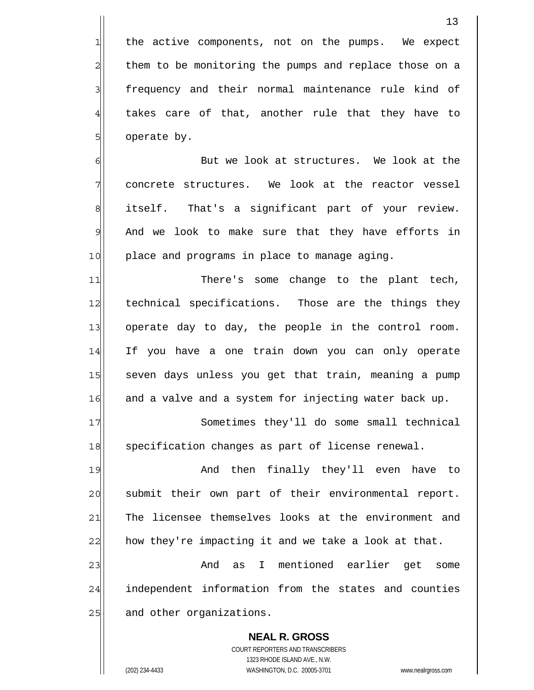2 the active components, not on the pumps. We expect them to be monitoring the pumps and replace those on a frequency and their normal maintenance rule kind of takes care of that, another rule that they have to operate by.

6 7 8 9 10 But we look at structures. We look at the concrete structures. We look at the reactor vessel itself. That's a significant part of your review. And we look to make sure that they have efforts in place and programs in place to manage aging.

11 12 13 14 15 16 There's some change to the plant tech, technical specifications. Those are the things they operate day to day, the people in the control room. If you have a one train down you can only operate seven days unless you get that train, meaning a pump and a valve and a system for injecting water back up.

17 18 Sometimes they'll do some small technical specification changes as part of license renewal.

19 20 21 22 And then finally they'll even have to submit their own part of their environmental report. The licensee themselves looks at the environment and how they're impacting it and we take a look at that.

23 24 25 And as I mentioned earlier get some independent information from the states and counties and other organizations.

**NEAL R. GROSS** COURT REPORTERS AND TRANSCRIBERS 1323 RHODE ISLAND AVE., N.W. (202) 234-4433 WASHINGTON, D.C. 20005-3701 www.nealrgross.com

1

3

4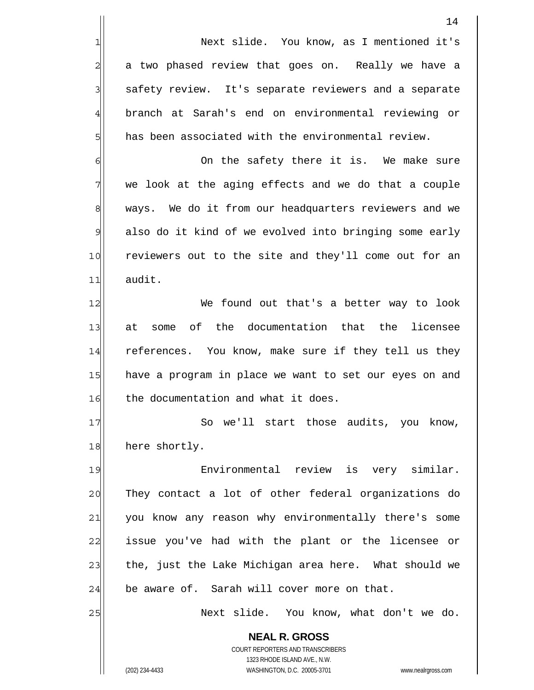1 2 3 4 5 6 7 8 9 10 11 12 13 14 Next slide. You know, as I mentioned it's a two phased review that goes on. Really we have a safety review. It's separate reviewers and a separate branch at Sarah's end on environmental reviewing or has been associated with the environmental review. On the safety there it is. We make sure we look at the aging effects and we do that a couple ways. We do it from our headquarters reviewers and we also do it kind of we evolved into bringing some early reviewers out to the site and they'll come out for an audit. We found out that's a better way to look at some of the documentation that the licensee references. You know, make sure if they tell us they

15 16 have a program in place we want to set our eyes on and the documentation and what it does.

17 18 So we'll start those audits, you know, here shortly.

19 20 21 22 23 24 Environmental review is very similar. They contact a lot of other federal organizations do you know any reason why environmentally there's some issue you've had with the plant or the licensee or the, just the Lake Michigan area here. What should we be aware of. Sarah will cover more on that.

> **NEAL R. GROSS** COURT REPORTERS AND TRANSCRIBERS 1323 RHODE ISLAND AVE., N.W.

Next slide. You know, what don't we do.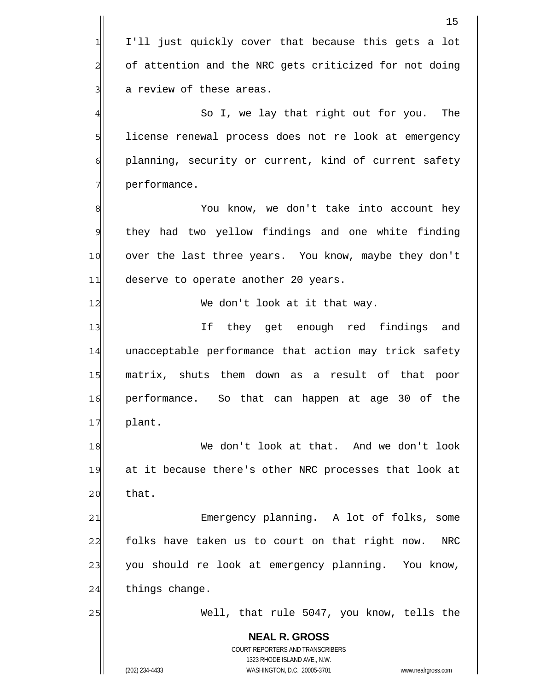|                | 15                                                                  |
|----------------|---------------------------------------------------------------------|
| 1              | I'll just quickly cover that because this gets a lot                |
| $\overline{a}$ | of attention and the NRC gets criticized for not doing              |
| 3              | a review of these areas.                                            |
| $\overline{4}$ | So I, we lay that right out for you. The                            |
| 5              | license renewal process does not re look at emergency               |
| 6              | planning, security or current, kind of current safety               |
| 7              | performance.                                                        |
| 8              | You know, we don't take into account hey                            |
| 9              | they had two yellow findings and one white finding                  |
| 10             | over the last three years. You know, maybe they don't               |
| 11             | deserve to operate another 20 years.                                |
| 12             | We don't look at it that way.                                       |
| 13             | If they get enough red findings<br>and                              |
| 14             | unacceptable performance that action may trick safety               |
| 15             | matrix, shuts them down as a result of that poor                    |
| 16             | performance. So that can happen at age 30 of the                    |
| 17             | plant.                                                              |
| 18             | We don't look at that. And we don't look                            |
| 19             | at it because there's other NRC processes that look at              |
| 20             | that.                                                               |
| 21             | Emergency planning. A lot of folks, some                            |
| 22             | folks have taken us to court on that right now.<br>NRC              |
| 23             | you should re look at emergency planning. You know,                 |
| 24             | things change.                                                      |
| 25             | Well, that rule 5047, you know, tells the                           |
|                | <b>NEAL R. GROSS</b><br>COURT REPORTERS AND TRANSCRIBERS            |
|                | 1323 RHODE ISLAND AVE., N.W.                                        |
|                | (202) 234-4433<br>WASHINGTON, D.C. 20005-3701<br>www.nealrgross.com |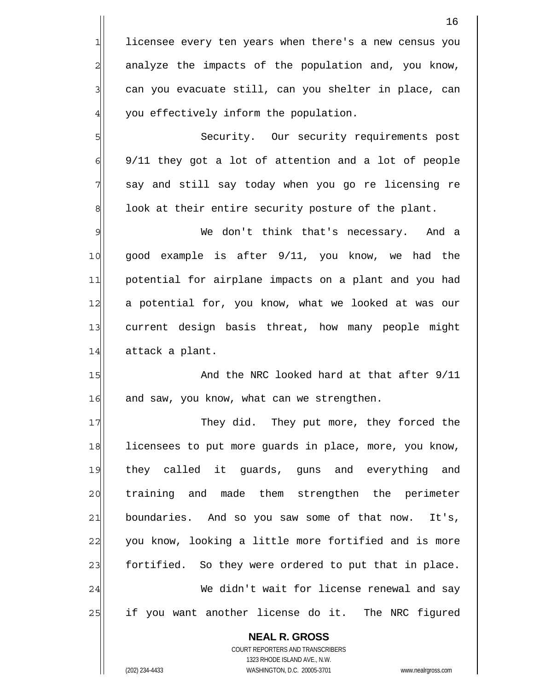licensee every ten years when there's a new census you analyze the impacts of the population and, you know, can you evacuate still, can you shelter in place, can you effectively inform the population.

 Security. Our security requirements post 9/11 they got a lot of attention and a lot of people say and still say today when you go re licensing re look at their entire security posture of the plant.

9 10 11 12 13 14 We don't think that's necessary. And a good example is after 9/11, you know, we had the potential for airplane impacts on a plant and you had a potential for, you know, what we looked at was our current design basis threat, how many people might attack a plant.

15 16 And the NRC looked hard at that after 9/11 and saw, you know, what can we strengthen.

17 18 19 20 21 22 23 24 25 They did. They put more, they forced the licensees to put more guards in place, more, you know, they called it guards, guns and everything and training and made them strengthen the perimeter boundaries. And so you saw some of that now. It's, you know, looking a little more fortified and is more fortified. So they were ordered to put that in place. We didn't wait for license renewal and say if you want another license do it. The NRC figured

**NEAL R. GROSS** COURT REPORTERS AND TRANSCRIBERS 1323 RHODE ISLAND AVE., N.W. (202) 234-4433 WASHINGTON, D.C. 20005-3701 www.nealrgross.com

1

2

3

4

5

6

7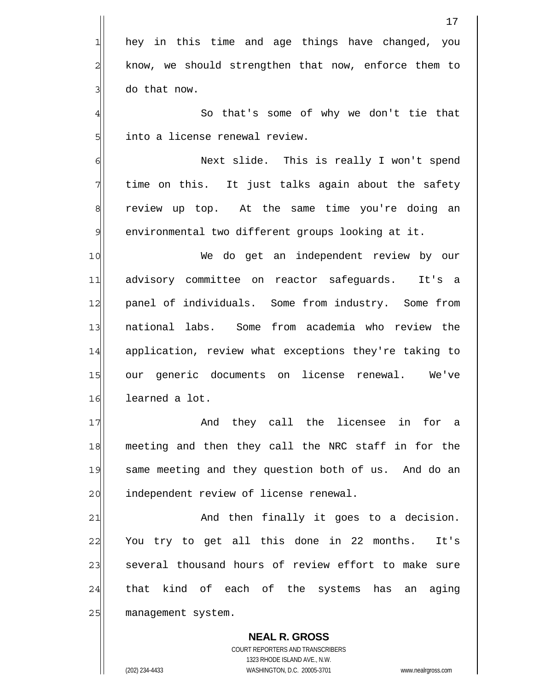|                | 17                                                    |
|----------------|-------------------------------------------------------|
| 1              | hey in this time and age things have changed, you     |
| $\overline{2}$ | know, we should strengthen that now, enforce them to  |
| $\overline{3}$ | do that now.                                          |
| $\overline{4}$ | So that's some of why we don't tie that               |
| 5              | into a license renewal review.                        |
| $\epsilon$     | Next slide. This is really I won't spend              |
| 7              | time on this. It just talks again about the safety    |
| 8              | review up top. At the same time you're doing an       |
| $\mathsf{S}$   | environmental two different groups looking at it.     |
| 10             | We do get an independent review by our                |
| 11             | advisory committee on reactor safeguards.<br>It's a   |
| 12             | panel of individuals. Some from industry. Some from   |
| 13             | national labs. Some from academia who review the      |
| 14             | application, review what exceptions they're taking to |
| 15             | generic documents on license renewal.<br>We've<br>our |
| 16             | learned a lot.                                        |
| 17             | And they call the licensee in for a                   |
| 18             | meeting and then they call the NRC staff in for the   |
| 19             | same meeting and they question both of us. And do an  |
| 20             | independent review of license renewal.                |
| 21             | And then finally it goes to a decision.               |
| 22             | You try to get all this done in 22 months.<br>It's    |
| 23             | several thousand hours of review effort to make sure  |
| 24             | kind of each of the systems has an<br>that<br>aging   |
| 25             | management system.                                    |
|                | <b>NEAL R. GROSS</b>                                  |

COURT REPORTERS AND TRANSCRIBERS 1323 RHODE ISLAND AVE., N.W.

 $\mathsf{II}$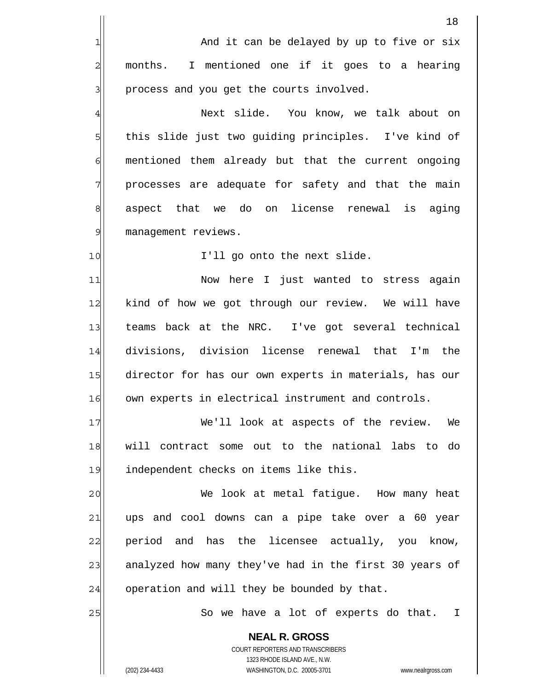|                | 18                                                                  |
|----------------|---------------------------------------------------------------------|
| 1              | And it can be delayed by up to five or six                          |
| $\overline{a}$ | I mentioned one if it goes to a hearing<br>months.                  |
| 3              | process and you get the courts involved.                            |
| $\overline{4}$ | Next slide. You know, we talk about on                              |
| 5              | this slide just two guiding principles. I've kind of                |
| 6              | mentioned them already but that the current ongoing                 |
| 7              | processes are adequate for safety and that the main                 |
| 8              | aspect that we do on license renewal is<br>aging                    |
| $\mathcal{G}$  | management reviews.                                                 |
| 10             | I'll go onto the next slide.                                        |
| 11             | Now here I just wanted to stress again                              |
| 12             | kind of how we got through our review. We will have                 |
| 13             | teams back at the NRC. I've got several technical                   |
| 14             | divisions, division license renewal that I'm the                    |
| 15             | director for has our own experts in materials, has our              |
| 16             | own experts in electrical instrument and controls.                  |
| 17             | We'll look at aspects of the review. We                             |
| 18             | will contract some out to the national labs to do                   |
| 19             | independent checks on items like this.                              |
| 20             | We look at metal fatigue. How many heat                             |
| 21             | ups and cool downs can a pipe take over a 60 year                   |
| 22             | period and has the licensee actually, you know,                     |
| 23             | analyzed how many they've had in the first 30 years of              |
| 24             | operation and will they be bounded by that.                         |
| 25             | So we have a lot of experts do that. I                              |
|                | <b>NEAL R. GROSS</b>                                                |
|                | COURT REPORTERS AND TRANSCRIBERS<br>1323 RHODE ISLAND AVE., N.W.    |
|                | WASHINGTON, D.C. 20005-3701<br>(202) 234-4433<br>www.nealrgross.com |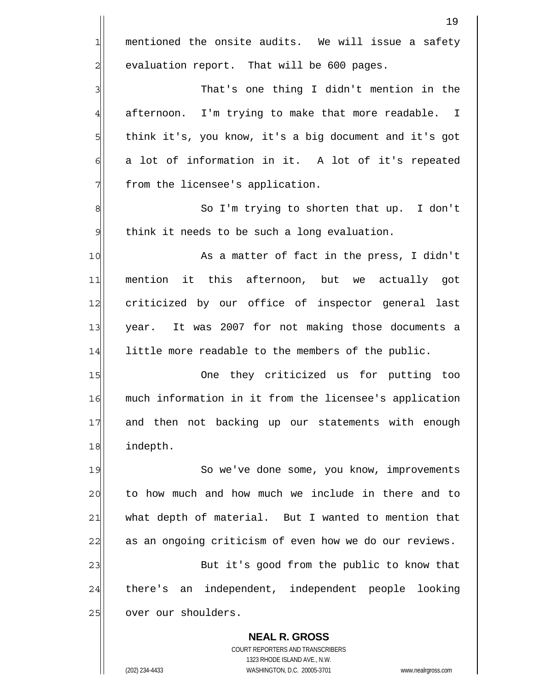**NEAL R. GROSS** 19 1 2 3 4 5 6 7 8 9 10 11 12 13 14 15 16 17 18 19 20 21 22 23 24 25 mentioned the onsite audits. We will issue a safety evaluation report. That will be 600 pages. That's one thing I didn't mention in the afternoon. I'm trying to make that more readable. I think it's, you know, it's a big document and it's got a lot of information in it. A lot of it's repeated from the licensee's application. So I'm trying to shorten that up. I don't think it needs to be such a long evaluation. As a matter of fact in the press, I didn't mention it this afternoon, but we actually got criticized by our office of inspector general last year. It was 2007 for not making those documents a little more readable to the members of the public. One they criticized us for putting too much information in it from the licensee's application and then not backing up our statements with enough indepth. So we've done some, you know, improvements to how much and how much we include in there and to what depth of material. But I wanted to mention that as an ongoing criticism of even how we do our reviews. But it's good from the public to know that there's an independent, independent people looking over our shoulders.

> COURT REPORTERS AND TRANSCRIBERS 1323 RHODE ISLAND AVE., N.W.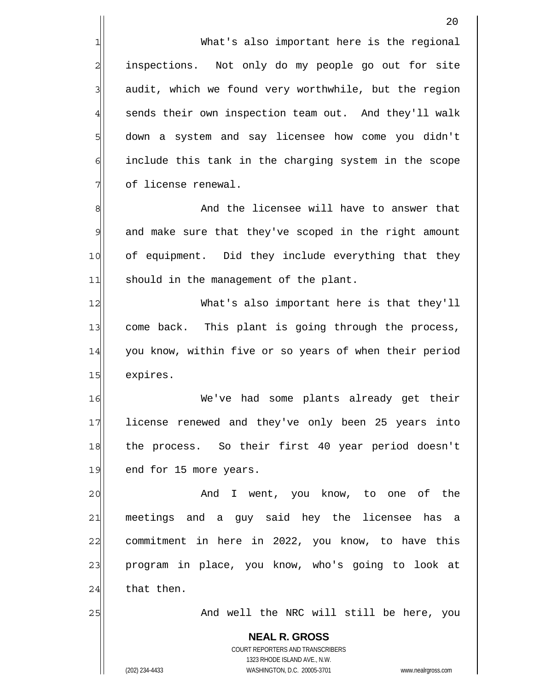What's also important here is the regional inspections. Not only do my people go out for site audit, which we found very worthwhile, but the region sends their own inspection team out. And they'll walk down a system and say licensee how come you didn't include this tank in the charging system in the scope of license renewal.

8 9 10 11 And the licensee will have to answer that and make sure that they've scoped in the right amount of equipment. Did they include everything that they should in the management of the plant.

12 13 14 15 What's also important here is that they'll come back. This plant is going through the process, you know, within five or so years of when their period expires.

16 17 18 19 We've had some plants already get their license renewed and they've only been 25 years into the process. So their first 40 year period doesn't end for 15 more years.

20 21 22 23 24 And I went, you know, to one of the meetings and a guy said hey the licensee has a commitment in here in 2022, you know, to have this program in place, you know, who's going to look at that then.

And well the NRC will still be here, you

**NEAL R. GROSS** COURT REPORTERS AND TRANSCRIBERS 1323 RHODE ISLAND AVE., N.W. (202) 234-4433 WASHINGTON, D.C. 20005-3701 www.nealrgross.com

25

1

2

3

4

5

6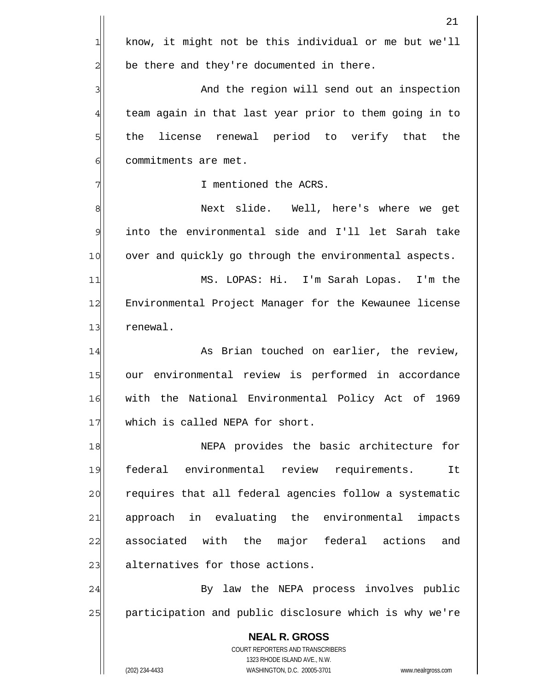|                | 21                                                                  |
|----------------|---------------------------------------------------------------------|
| 1              | know, it might not be this individual or me but we'll               |
| $\overline{c}$ | be there and they're documented in there.                           |
| 3              | And the region will send out an inspection                          |
| $\overline{4}$ | team again in that last year prior to them going in to              |
| 5              | license renewal period to verify that the<br>the                    |
| 6              | commitments are met.                                                |
| 7              | I mentioned the ACRS.                                               |
| 8              | Next slide. Well, here's where we get                               |
| 9              | into the environmental side and I'll let Sarah take                 |
| 10             | over and quickly go through the environmental aspects.              |
| 11             | MS. LOPAS: Hi. I'm Sarah Lopas. I'm the                             |
| 12             | Environmental Project Manager for the Kewaunee license              |
| 13             | renewal.                                                            |
| 14             | As Brian touched on earlier, the review,                            |
| 15             | our environmental review is performed in accordance                 |
| 16             | with the National Environmental Policy Act of 1969                  |
| 17             | which is called NEPA for short.                                     |
| 18             | NEPA provides the basic architecture for                            |
| 19             | federal environmental review requirements.<br>It                    |
| 20             | requires that all federal agencies follow a systematic              |
| 21             | approach in evaluating the environmental<br>impacts                 |
| 22             | associated with the major federal actions<br>and                    |
| 23             | alternatives for those actions.                                     |
| 24             | By law the NEPA process involves public                             |
| 25             | participation and public disclosure which is why we're              |
|                | <b>NEAL R. GROSS</b>                                                |
|                | COURT REPORTERS AND TRANSCRIBERS<br>1323 RHODE ISLAND AVE., N.W.    |
|                | (202) 234-4433<br>WASHINGTON, D.C. 20005-3701<br>www.nealrgross.com |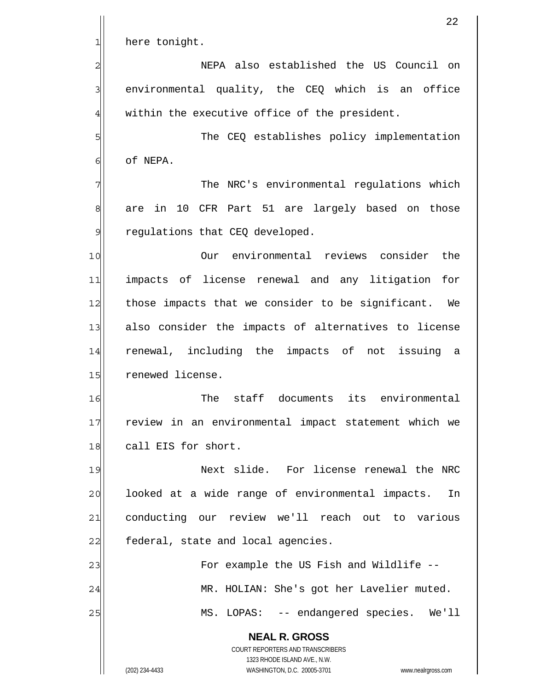|                | 22                                                                                                  |
|----------------|-----------------------------------------------------------------------------------------------------|
| 1              | here tonight.                                                                                       |
| $\overline{c}$ | NEPA also established the US Council on                                                             |
| 3              | environmental quality, the CEQ which is an office                                                   |
| $\overline{4}$ | within the executive office of the president.                                                       |
| 5              | The CEQ establishes policy implementation                                                           |
| 6              | of NEPA.                                                                                            |
| 7              | The NRC's environmental regulations which                                                           |
| 8              | in 10 CFR Part 51 are largely based on those<br>are                                                 |
| $\overline{9}$ | regulations that CEQ developed.                                                                     |
| 10             | Our environmental reviews consider<br>the                                                           |
| 11             | impacts of license renewal and any litigation<br>for                                                |
| 12             | those impacts that we consider to be significant. We                                                |
| 13             | also consider the impacts of alternatives to license                                                |
| 14             | renewal, including the impacts of not issuing a                                                     |
| 15             | renewed license.                                                                                    |
| 16             | The<br>staff<br>documents<br>its<br>environmental                                                   |
| 17             | review in an environmental impact statement which we                                                |
| 18             | call EIS for short.                                                                                 |
| 19             | Next slide. For license renewal the NRC                                                             |
| 20             | looked at a wide range of environmental impacts.<br>In                                              |
| 21             | conducting our review we'll reach out to various                                                    |
| 22             | federal, state and local agencies.                                                                  |
| 23             | For example the US Fish and Wildlife --                                                             |
| 24             | MR. HOLIAN: She's got her Lavelier muted.                                                           |
| 25             | MS. LOPAS: -- endangered species. We'll                                                             |
|                | <b>NEAL R. GROSS</b>                                                                                |
|                | COURT REPORTERS AND TRANSCRIBERS                                                                    |
|                | 1323 RHODE ISLAND AVE., N.W.<br>(202) 234-4433<br>WASHINGTON, D.C. 20005-3701<br>www.nealrgross.com |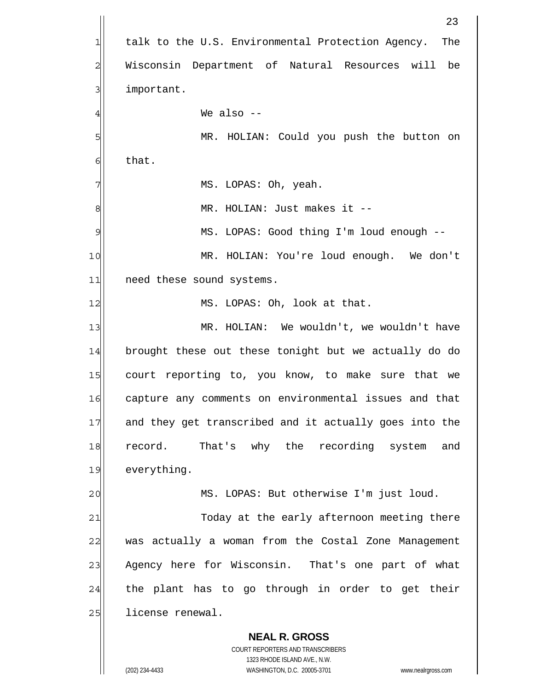**NEAL R. GROSS** COURT REPORTERS AND TRANSCRIBERS 1323 RHODE ISLAND AVE., N.W. 23 1 2 3 4 5 6 7 8 9 10 11 12 13 14 15 16 17 18 19 20 21 22 23 24 25 talk to the U.S. Environmental Protection Agency. The Wisconsin Department of Natural Resources will be important. We also -- MR. HOLIAN: Could you push the button on that. MS. LOPAS: Oh, yeah. MR. HOLIAN: Just makes it -- MS. LOPAS: Good thing I'm loud enough -- MR. HOLIAN: You're loud enough. We don't need these sound systems. MS. LOPAS: Oh, look at that. MR. HOLIAN: We wouldn't, we wouldn't have brought these out these tonight but we actually do do court reporting to, you know, to make sure that we capture any comments on environmental issues and that and they get transcribed and it actually goes into the record. That's why the recording system and everything. MS. LOPAS: But otherwise I'm just loud. Today at the early afternoon meeting there was actually a woman from the Costal Zone Management Agency here for Wisconsin. That's one part of what the plant has to go through in order to get their license renewal.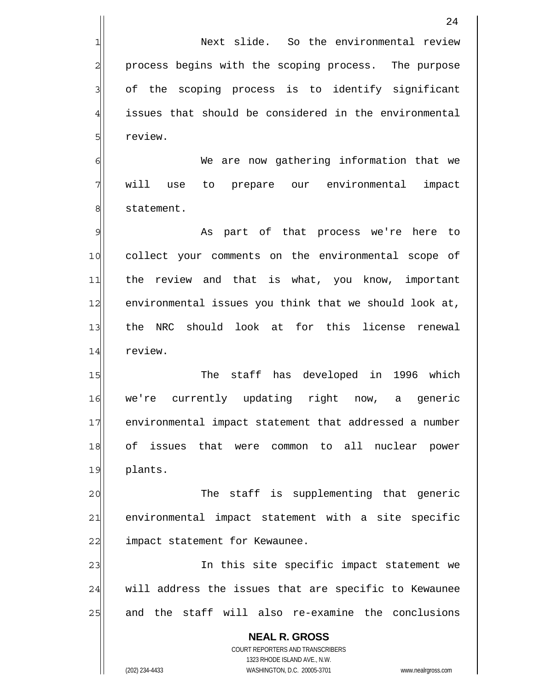Next slide. So the environmental review process begins with the scoping process. The purpose of the scoping process is to identify significant issues that should be considered in the environmental review.

6 7 8 We are now gathering information that we will use to prepare our environmental impact statement.

9 10 11 12 13 14 As part of that process we're here to collect your comments on the environmental scope of the review and that is what, you know, important environmental issues you think that we should look at, the NRC should look at for this license renewal review.

15 16 17 18 19 The staff has developed in 1996 which we're currently updating right now, a generic environmental impact statement that addressed a number of issues that were common to all nuclear power plants.

20 21 22 The staff is supplementing that generic environmental impact statement with a site specific impact statement for Kewaunee.

23 24 25 In this site specific impact statement we will address the issues that are specific to Kewaunee and the staff will also re-examine the conclusions

**NEAL R. GROSS** COURT REPORTERS AND TRANSCRIBERS 1323 RHODE ISLAND AVE., N.W. (202) 234-4433 WASHINGTON, D.C. 20005-3701 www.nealrgross.com

1

2

3

4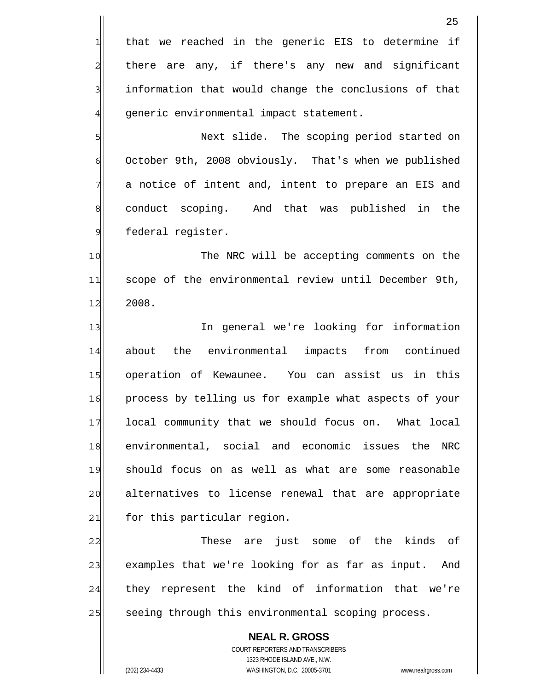|                | 25                                                                                                  |
|----------------|-----------------------------------------------------------------------------------------------------|
| $\mathbf{1}$   | that we reached in the generic EIS to determine if                                                  |
| $\overline{c}$ | there are any, if there's any new and significant                                                   |
| 3              | information that would change the conclusions of that                                               |
| $\overline{4}$ | generic environmental impact statement.                                                             |
| 5              | Next slide. The scoping period started on                                                           |
| 6              | October 9th, 2008 obviously. That's when we published                                               |
| 7              | a notice of intent and, intent to prepare an EIS and                                                |
| 8              | conduct scoping. And that was published in<br>the                                                   |
| 9              | federal register.                                                                                   |
| 10             | The NRC will be accepting comments on the                                                           |
| 11             | scope of the environmental review until December 9th,                                               |
| 12             | 2008.                                                                                               |
| 13             | In general we're looking for information                                                            |
| 14             | about the environmental impacts from continued                                                      |
| 15             | operation of Kewaunee. You can assist us in this                                                    |
| 16             | process by telling us for example what aspects of your                                              |
| 17             | local community that we should focus on. What local                                                 |
| 18             | environmental, social and economic issues<br>NRC<br>the                                             |
| 19             | should focus on as well as what are some reasonable                                                 |
| 20             | alternatives to license renewal that are appropriate                                                |
| 21             | for this particular region.                                                                         |
| 22             | are just some of the kinds of<br>These                                                              |
| 23             | examples that we're looking for as far as input.<br>And                                             |
| 24             | they represent the kind of information that we're                                                   |
| 25             | seeing through this environmental scoping process.                                                  |
|                | <b>NEAL R. GROSS</b>                                                                                |
|                | COURT REPORTERS AND TRANSCRIBERS                                                                    |
|                | 1323 RHODE ISLAND AVE., N.W.<br>(202) 234-4433<br>WASHINGTON, D.C. 20005-3701<br>www.nealrgross.com |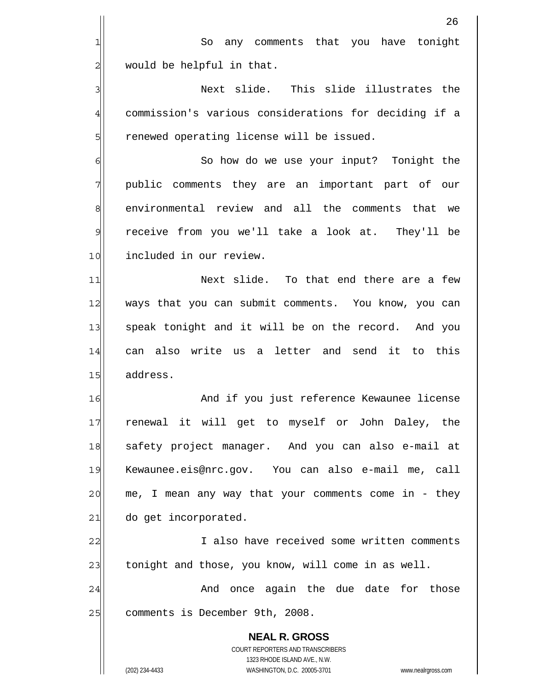|                | 26                                                                  |
|----------------|---------------------------------------------------------------------|
| 1              | any comments that you have tonight<br>So                            |
| 2              | would be helpful in that.                                           |
| 3              | Next slide. This slide illustrates the                              |
| $\overline{4}$ | commission's various considerations for deciding if a               |
| 5              | renewed operating license will be issued.                           |
| 6              | So how do we use your input? Tonight the                            |
| 7              | public comments they are an important part of our                   |
| 8              | environmental review and all the comments that we                   |
| 9              | receive from you we'll take a look at. They'll be                   |
| 10             | included in our review.                                             |
| 11             | Next slide. To that end there are a few                             |
| 12             | ways that you can submit comments. You know, you can                |
| 13             | speak tonight and it will be on the record. And you                 |
| 14             | can also write us a letter and send it to this                      |
| 15             | address.                                                            |
| 16             | And if you just reference Kewaunee license                          |
| 17             | renewal it will get to myself or John Daley, the                    |
| 18             | safety project manager. And you can also e-mail at                  |
| 19             | Kewaunee.eis@nrc.gov. You can also e-mail me, call                  |
| 20             | me, I mean any way that your comments come in - they                |
| 21             | do get incorporated.                                                |
| 22             | I also have received some written comments                          |
| 23             | tonight and those, you know, will come in as well.                  |
| 24             | once again the due date for those<br>And                            |
| 25             | comments is December 9th, 2008.                                     |
|                | <b>NEAL R. GROSS</b>                                                |
|                | COURT REPORTERS AND TRANSCRIBERS<br>1323 RHODE ISLAND AVE., N.W.    |
|                | (202) 234-4433<br>WASHINGTON, D.C. 20005-3701<br>www.nealrgross.com |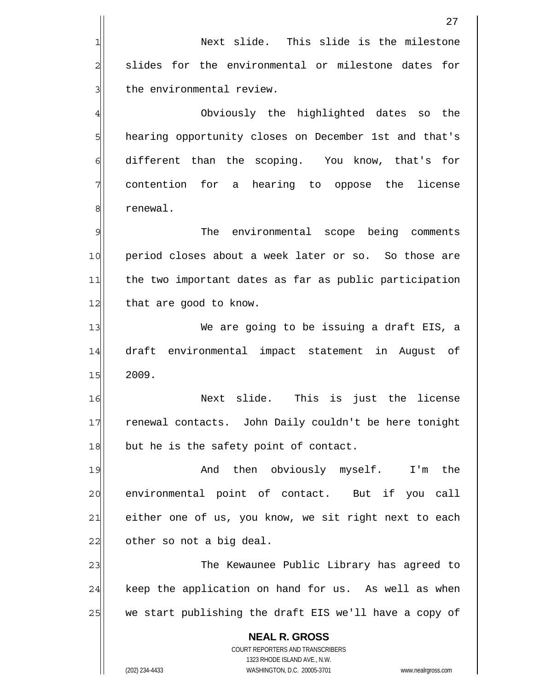|                | 27                                                                                                  |
|----------------|-----------------------------------------------------------------------------------------------------|
| 1              | Next slide. This slide is the milestone                                                             |
| $\overline{c}$ | slides for the environmental or milestone dates for                                                 |
| 3              | the environmental review.                                                                           |
| 4              | Obviously the highlighted dates<br>the<br>SO                                                        |
| 5              | hearing opportunity closes on December 1st and that's                                               |
| 6              | different than the scoping. You know, that's for                                                    |
| 7              | contention for<br>a hearing to oppose the license                                                   |
| 8              | renewal.                                                                                            |
| 9              | The<br>environmental scope being comments                                                           |
| 10             | period closes about a week later or so. So those are                                                |
| 11             | the two important dates as far as public participation                                              |
| 12             | that are good to know.                                                                              |
| 13             | We are going to be issuing a draft EIS, a                                                           |
| 14             | draft environmental impact statement in<br>August of                                                |
| 15             | 2009.                                                                                               |
| 16             | slide.<br>This is just the license<br>Next                                                          |
| 17             | renewal contacts. John Daily couldn't be here tonight                                               |
| 18             | but he is the safety point of contact.                                                              |
| 19             | And then obviously myself. I'm the                                                                  |
| 20             | environmental point of contact. But if you<br>call                                                  |
| 21             | either one of us, you know, we sit right next to each                                               |
| 22             | other so not a big deal.                                                                            |
| 23             | The Kewaunee Public Library has agreed to                                                           |
| 24             | keep the application on hand for us. As well as when                                                |
| 25             | we start publishing the draft EIS we'll have a copy of                                              |
|                | <b>NEAL R. GROSS</b>                                                                                |
|                | COURT REPORTERS AND TRANSCRIBERS                                                                    |
|                | 1323 RHODE ISLAND AVE., N.W.<br>(202) 234-4433<br>WASHINGTON, D.C. 20005-3701<br>www.nealrgross.com |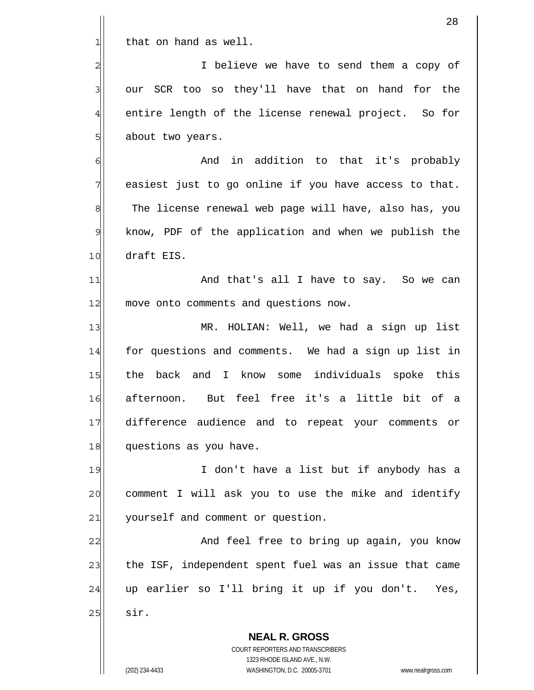|                 | 28                                                                                                  |
|-----------------|-----------------------------------------------------------------------------------------------------|
| 1               | that on hand as well.                                                                               |
| $\overline{c}$  | I believe we have to send them a copy of                                                            |
| 3               | our SCR too so they'll have that on hand for the                                                    |
| 4               | entire length of the license renewal project. So for                                                |
| 5               | about two years.                                                                                    |
| 6               | And in addition to that it's probably                                                               |
| 7               | easiest just to go online if you have access to that.                                               |
| 8               | The license renewal web page will have, also has, you                                               |
| $\mathcal{Q}$   | know, PDF of the application and when we publish the                                                |
| 10              | draft EIS.                                                                                          |
| 11              | And that's all I have to say. So we can                                                             |
| 12              | move onto comments and questions now.                                                               |
| 13              | MR. HOLIAN: Well, we had a sign up list                                                             |
| 14              | for questions and comments. We had a sign up list in                                                |
| 15              | the back and I know some individuals spoke this                                                     |
| 16              | afternoon. But feel free it's a little bit of a                                                     |
| 17              | difference audience and to repeat your comments or                                                  |
| 18              | questions as you have.                                                                              |
| 19              | I don't have a list but if anybody has a                                                            |
| 20              | comment I will ask you to use the mike and identify                                                 |
| $\overline{21}$ | yourself and comment or question.                                                                   |
| 22              | And feel free to bring up again, you know                                                           |
| 23              | the ISF, independent spent fuel was an issue that came                                              |
| 24              | up earlier so I'll bring it up if you don't. Yes,                                                   |
| 25              | sir.                                                                                                |
|                 | <b>NEAL R. GROSS</b>                                                                                |
|                 | COURT REPORTERS AND TRANSCRIBERS                                                                    |
|                 | 1323 RHODE ISLAND AVE., N.W.<br>(202) 234-4433<br>WASHINGTON, D.C. 20005-3701<br>www.nealrgross.com |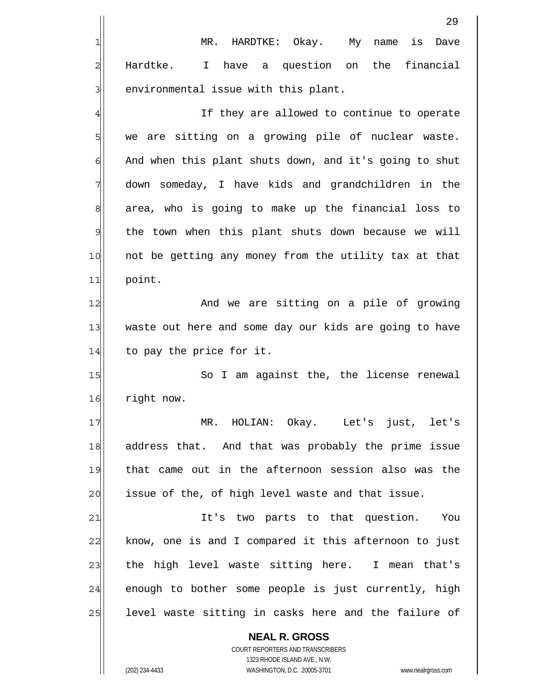|    | 29                                                           |
|----|--------------------------------------------------------------|
| 1  | MR. HARDTKE: Okay. My name<br>is<br>Dave                     |
| 2  | have a question on the financial<br>Hardtke.<br>$\mathbf{I}$ |
| 3  | environmental issue with this plant.                         |
| 4  | If they are allowed to continue to operate                   |
| 5  | we are sitting on a growing pile of nuclear waste.           |
| 6  | And when this plant shuts down, and it's going to shut       |
| 7  | down someday, I have kids and grandchildren in the           |
| 8  | area, who is going to make up the financial loss to          |
| 9  | the town when this plant shuts down because we will          |
| 10 | not be getting any money from the utility tax at that        |
| 11 | point.                                                       |
| 12 | And we are sitting on a pile of growing                      |
| 13 | waste out here and some day our kids are going to have       |
| 14 | to pay the price for it.                                     |
| 15 | So I am against the, the license renewal                     |
| 16 | right now.                                                   |
| 17 | MR. HOLIAN: Okay. Let's just, let's                          |
| 18 | address that. And that was probably the prime issue          |
| 19 | that came out in the afternoon session also was the          |
| 20 | issue of the, of high level waste and that issue.            |
| 21 | It's two parts to that question.<br>You                      |
| 22 | know, one is and I compared it this afternoon to just        |
| 23 | the high level waste sitting here. I mean that's             |
| 24 | enough to bother some people is just currently, high         |
| 25 | level waste sitting in casks here and the failure of         |
|    | <b>NEAL R. GROSS</b><br>COURT REPORTERS AND TRANSCRIBERS     |

1323 RHODE ISLAND AVE., N.W.

 $\mathbf{I}$  $\prod$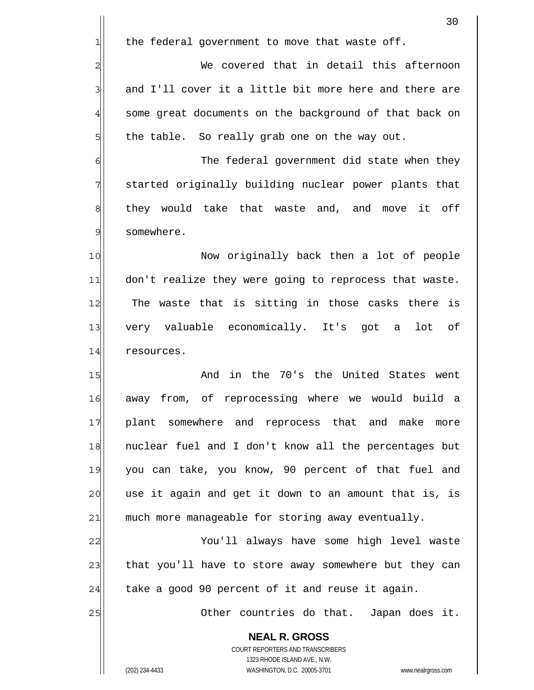|                | 30                                                                  |
|----------------|---------------------------------------------------------------------|
| 긔              | the federal government to move that waste off.                      |
| $\overline{c}$ | We covered that in detail this afternoon                            |
| 3              | and I'll cover it a little bit more here and there are              |
| 4              | some great documents on the background of that back on              |
| 5              | the table. So really grab one on the way out.                       |
| 6              | The federal government did state when they                          |
| 7              | started originally building nuclear power plants that               |
| 8              | they would take that waste and, and move it off                     |
| 9              | somewhere.                                                          |
| 10             | Now originally back then a lot of people                            |
| 11             | don't realize they were going to reprocess that waste.              |
| 12             | The waste that is sitting in those casks there is                   |
| 13             | very valuable economically. It's got a lot<br>оf                    |
| 14             | resources.                                                          |
| 15             | And in the 70's the United States went                              |
| 16             | from, of reprocessing where we would build<br>away<br>a             |
| 17             | plant somewhere and reprocess that and make<br>more                 |
| 18             | nuclear fuel and I don't know all the percentages but               |
| 19             | you can take, you know, 90 percent of that fuel and                 |
| 20             | use it again and get it down to an amount that is, is               |
| 21             | much more manageable for storing away eventually.                   |
| 22             | You'll always have some high level waste                            |
| 23             | that you'll have to store away somewhere but they can               |
| 24             | take a good 90 percent of it and reuse it again.                    |
| 25             | Other countries do that. Japan does it.                             |
|                | <b>NEAL R. GROSS</b>                                                |
|                | COURT REPORTERS AND TRANSCRIBERS                                    |
|                | 1323 RHODE ISLAND AVE., N.W.                                        |
|                | WASHINGTON, D.C. 20005-3701<br>(202) 234-4433<br>www.nealrgross.com |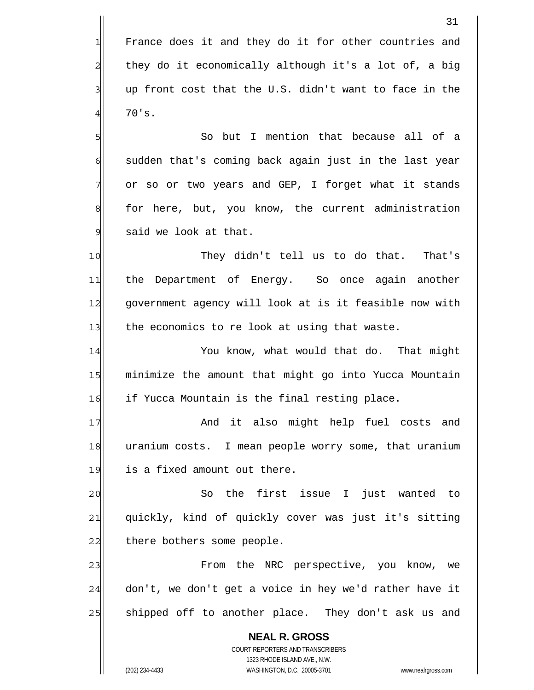France does it and they do it for other countries and they do it economically although it's a lot of, a big up front cost that the U.S. didn't want to face in the 70's.

 So but I mention that because all of a sudden that's coming back again just in the last year or so or two years and GEP, I forget what it stands for here, but, you know, the current administration said we look at that.

10 11 12 13 They didn't tell us to do that. That's the Department of Energy. So once again another government agency will look at is it feasible now with the economics to re look at using that waste.

14 15 16 You know, what would that do. That might minimize the amount that might go into Yucca Mountain if Yucca Mountain is the final resting place.

17 18 19 And it also might help fuel costs and uranium costs. I mean people worry some, that uranium is a fixed amount out there.

20 21 22 So the first issue I just wanted to quickly, kind of quickly cover was just it's sitting there bothers some people.

23 24 25 From the NRC perspective, you know, we don't, we don't get a voice in hey we'd rather have it shipped off to another place. They don't ask us and

**NEAL R. GROSS** COURT REPORTERS AND TRANSCRIBERS 1323 RHODE ISLAND AVE., N.W. (202) 234-4433 WASHINGTON, D.C. 20005-3701 www.nealrgross.com

1

2

3

4

5

6

7

8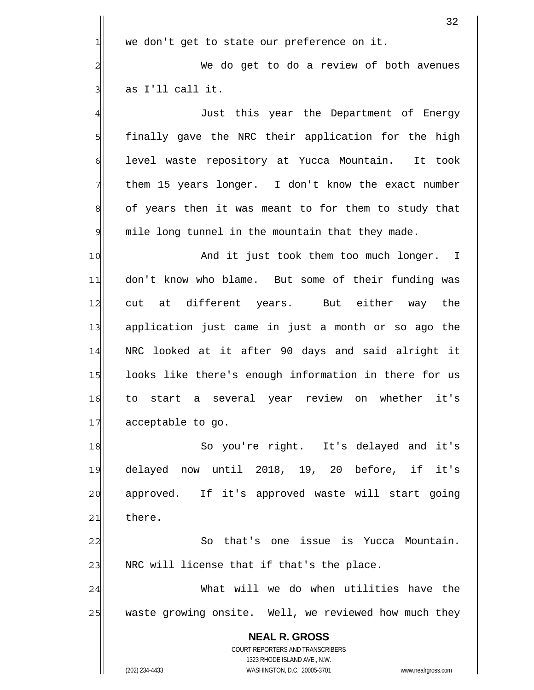|                  | 32                                                                  |
|------------------|---------------------------------------------------------------------|
| $\mathbf{1}$     | we don't get to state our preference on it.                         |
| $\overline{a}$   | We do get to do a review of both avenues                            |
| 3                | as I'll call it.                                                    |
| $\overline{4}$   | Just this year the Department of Energy                             |
| 5                | finally gave the NRC their application for the high                 |
| 6                | level waste repository at Yucca Mountain. It took                   |
| 7                | them 15 years longer. I don't know the exact number                 |
| $\boldsymbol{8}$ | of years then it was meant to for them to study that                |
| $\mathsf{S}$     | mile long tunnel in the mountain that they made.                    |
| 10               | And it just took them too much longer. I                            |
| 11               | don't know who blame. But some of their funding was                 |
| 12               | at different years. But either way the<br>cut                       |
| 13               | application just came in just a month or so ago the                 |
| 14               | NRC looked at it after 90 days and said alright it                  |
| 15               | looks like there's enough information in there for us               |
| 16               | to start a several year review on whether<br>it's                   |
| 17               | acceptable to go.                                                   |
| 18               | So you're right. It's delayed and it's                              |
| 19               | delayed now until 2018, 19, 20 before, if it's                      |
| 20               | approved. If it's approved waste will start going                   |
| 21               | there.                                                              |
| 22               | So that's one issue is Yucca Mountain.                              |
| 23               | NRC will license that if that's the place.                          |
| 24               | What will we do when utilities have the                             |
| 25               | waste growing onsite. Well, we reviewed how much they               |
|                  | <b>NEAL R. GROSS</b>                                                |
|                  | COURT REPORTERS AND TRANSCRIBERS<br>1323 RHODE ISLAND AVE., N.W.    |
|                  | (202) 234-4433<br>WASHINGTON, D.C. 20005-3701<br>www.nealrgross.com |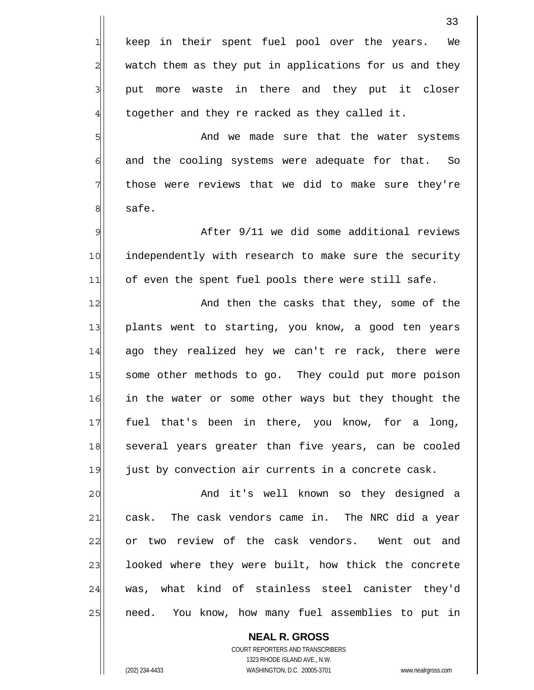**NEAL R. GROSS** 33 1 2 3 4 5 6 7 8 9 10 11 12 13 14 15 16 17 18 19 20 21 22 23 24 25 keep in their spent fuel pool over the years. We watch them as they put in applications for us and they put more waste in there and they put it closer together and they re racked as they called it. And we made sure that the water systems and the cooling systems were adequate for that. So those were reviews that we did to make sure they're safe. After 9/11 we did some additional reviews independently with research to make sure the security of even the spent fuel pools there were still safe. And then the casks that they, some of the plants went to starting, you know, a good ten years ago they realized hey we can't re rack, there were some other methods to go. They could put more poison in the water or some other ways but they thought the fuel that's been in there, you know, for a long, several years greater than five years, can be cooled just by convection air currents in a concrete cask. And it's well known so they designed a cask. The cask vendors came in. The NRC did a year or two review of the cask vendors. Went out and looked where they were built, how thick the concrete was, what kind of stainless steel canister they'd need. You know, how many fuel assemblies to put in

COURT REPORTERS AND TRANSCRIBERS 1323 RHODE ISLAND AVE., N.W. (202) 234-4433 WASHINGTON, D.C. 20005-3701 www.nealrgross.com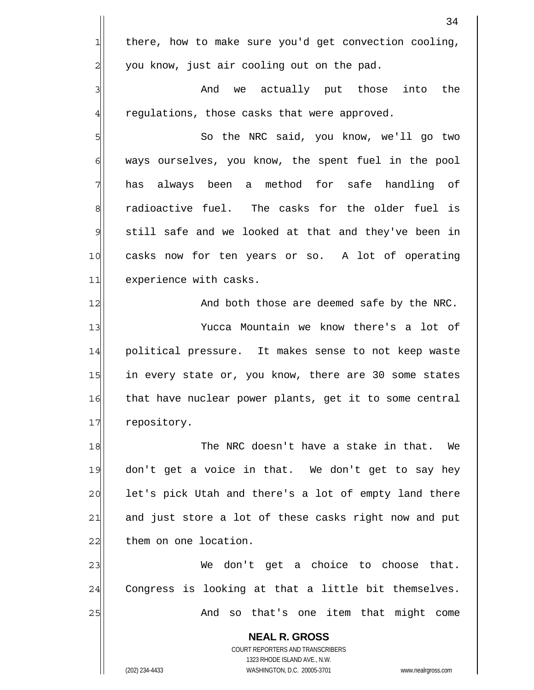**NEAL R. GROSS** COURT REPORTERS AND TRANSCRIBERS 1323 RHODE ISLAND AVE., N.W. 34 1 2 3 4 5 6 7 8 9 10 11 12 13 14 15 16 17 18 19 20 21 22 23 24 25 there, how to make sure you'd get convection cooling, you know, just air cooling out on the pad. And we actually put those into the regulations, those casks that were approved. So the NRC said, you know, we'll go two ways ourselves, you know, the spent fuel in the pool has always been a method for safe handling of radioactive fuel. The casks for the older fuel is still safe and we looked at that and they've been in casks now for ten years or so. A lot of operating experience with casks. And both those are deemed safe by the NRC. Yucca Mountain we know there's a lot of political pressure. It makes sense to not keep waste in every state or, you know, there are 30 some states that have nuclear power plants, get it to some central repository. The NRC doesn't have a stake in that. We don't get a voice in that. We don't get to say hey let's pick Utah and there's a lot of empty land there and just store a lot of these casks right now and put them on one location. We don't get a choice to choose that. Congress is looking at that a little bit themselves. And so that's one item that might come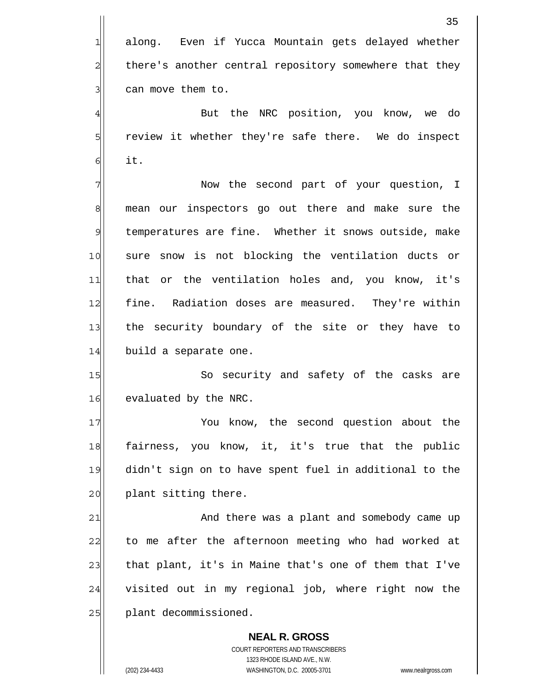**NEAL R. GROSS** COURT REPORTERS AND TRANSCRIBERS 1323 RHODE ISLAND AVE., N.W. (202) 234-4433 WASHINGTON, D.C. 20005-3701 www.nealrgross.com 35 1 2 3 4 5 6 7 8 9 10 11 12 13 14 15 16 17 18 19 20 21 22 23 24 25 along. Even if Yucca Mountain gets delayed whether there's another central repository somewhere that they can move them to. But the NRC position, you know, we do review it whether they're safe there. We do inspect it. Now the second part of your question, I mean our inspectors go out there and make sure the temperatures are fine. Whether it snows outside, make sure snow is not blocking the ventilation ducts or that or the ventilation holes and, you know, it's fine. Radiation doses are measured. They're within the security boundary of the site or they have to build a separate one. So security and safety of the casks are evaluated by the NRC. You know, the second question about the fairness, you know, it, it's true that the public didn't sign on to have spent fuel in additional to the plant sitting there. And there was a plant and somebody came up to me after the afternoon meeting who had worked at that plant, it's in Maine that's one of them that I've visited out in my regional job, where right now the plant decommissioned.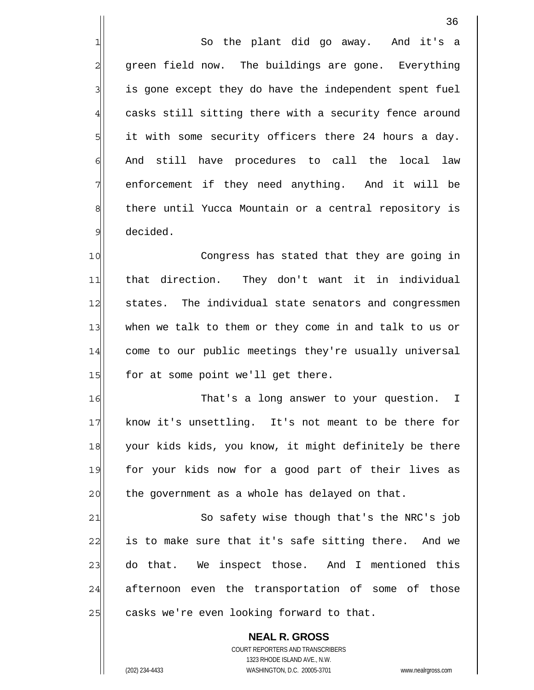1 2 3 4 5 6 7 8 9 10 So the plant did go away. And it's a green field now. The buildings are gone. Everything is gone except they do have the independent spent fuel casks still sitting there with a security fence around it with some security officers there 24 hours a day. And still have procedures to call the local law enforcement if they need anything. And it will be there until Yucca Mountain or a central repository is decided. Congress has stated that they are going in

11 12 13 14 15 that direction. They don't want it in individual states. The individual state senators and congressmen when we talk to them or they come in and talk to us or come to our public meetings they're usually universal for at some point we'll get there.

16 17 18 19 20 That's a long answer to your question. I know it's unsettling. It's not meant to be there for your kids kids, you know, it might definitely be there for your kids now for a good part of their lives as the government as a whole has delayed on that.

21 22 23 24 25 So safety wise though that's the NRC's job is to make sure that it's safe sitting there. And we do that. We inspect those. And I mentioned this afternoon even the transportation of some of those casks we're even looking forward to that.

**NEAL R. GROSS** COURT REPORTERS AND TRANSCRIBERS 1323 RHODE ISLAND AVE., N.W. (202) 234-4433 WASHINGTON, D.C. 20005-3701 www.nealrgross.com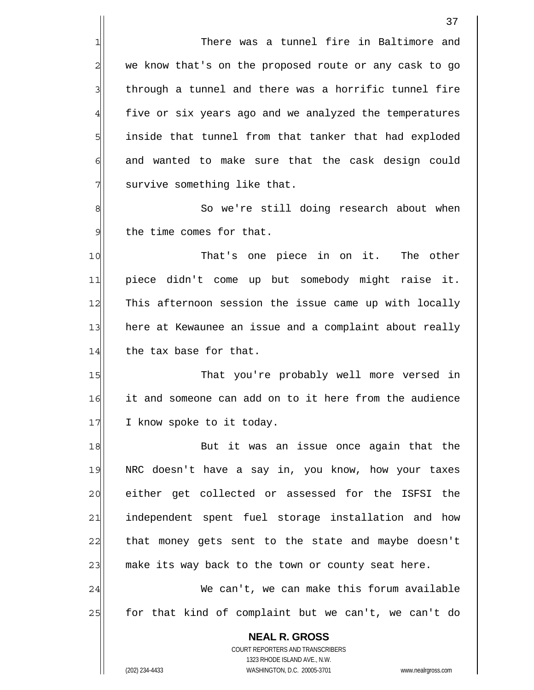There was a tunnel fire in Baltimore and we know that's on the proposed route or any cask to go through a tunnel and there was a horrific tunnel fire five or six years ago and we analyzed the temperatures inside that tunnel from that tanker that had exploded and wanted to make sure that the cask design could survive something like that.

8 9 So we're still doing research about when the time comes for that.

10 11 12 13 14 That's one piece in on it. The other piece didn't come up but somebody might raise it. This afternoon session the issue came up with locally here at Kewaunee an issue and a complaint about really the tax base for that.

15 16 17 That you're probably well more versed in it and someone can add on to it here from the audience I know spoke to it today.

18 19 20 21 22 23 But it was an issue once again that the NRC doesn't have a say in, you know, how your taxes either get collected or assessed for the ISFSI the independent spent fuel storage installation and how that money gets sent to the state and maybe doesn't make its way back to the town or county seat here.

24 25 We can't, we can make this forum available for that kind of complaint but we can't, we can't do

**NEAL R. GROSS** COURT REPORTERS AND TRANSCRIBERS 1323 RHODE ISLAND AVE., N.W. (202) 234-4433 WASHINGTON, D.C. 20005-3701 www.nealrgross.com

1

2

3

4

5

6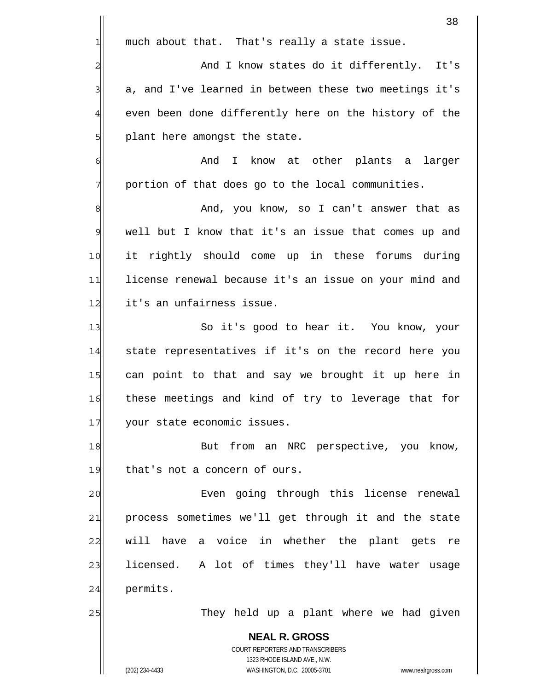|                 | 38                                                                                                  |
|-----------------|-----------------------------------------------------------------------------------------------------|
| $\mathbf{1}$    | much about that. That's really a state issue.                                                       |
| $\overline{2}$  | And I know states do it differently.<br>It's                                                        |
| 3               | a, and I've learned in between these two meetings it's                                              |
| $\overline{4}$  | even been done differently here on the history of the                                               |
| $5\overline{)}$ | plant here amongst the state.                                                                       |
| 6               | And I know at other plants a larger                                                                 |
| 7               | portion of that does go to the local communities.                                                   |
| $\bf{8}$        | And, you know, so I can't answer that as                                                            |
| 9               | well but I know that it's an issue that comes up and                                                |
| 10              | it rightly should come up in these forums during                                                    |
| 11              | license renewal because it's an issue on your mind and                                              |
| 12              | it's an unfairness issue.                                                                           |
| 13              | So it's good to hear it. You know, your                                                             |
| 14              | state representatives if it's on the record here you                                                |
| 15              | can point to that and say we brought it up here in                                                  |
| 16              | these meetings and kind of try to leverage that for                                                 |
| 17              | your state economic issues.                                                                         |
| 18              | But from an NRC perspective, you know,                                                              |
| 19              | that's not a concern of ours.                                                                       |
| 20              | Even going through this license renewal                                                             |
| 21              | process sometimes we'll get through it and the state                                                |
| 22              | have a voice in whether the plant gets re<br>will                                                   |
| 23              | licensed. A lot of times they'll have water usage                                                   |
| 24              | permits.                                                                                            |
| 25              | They held up a plant where we had given                                                             |
|                 | <b>NEAL R. GROSS</b>                                                                                |
|                 | COURT REPORTERS AND TRANSCRIBERS                                                                    |
|                 | 1323 RHODE ISLAND AVE., N.W.<br>(202) 234-4433<br>WASHINGTON, D.C. 20005-3701<br>www.nealrgross.com |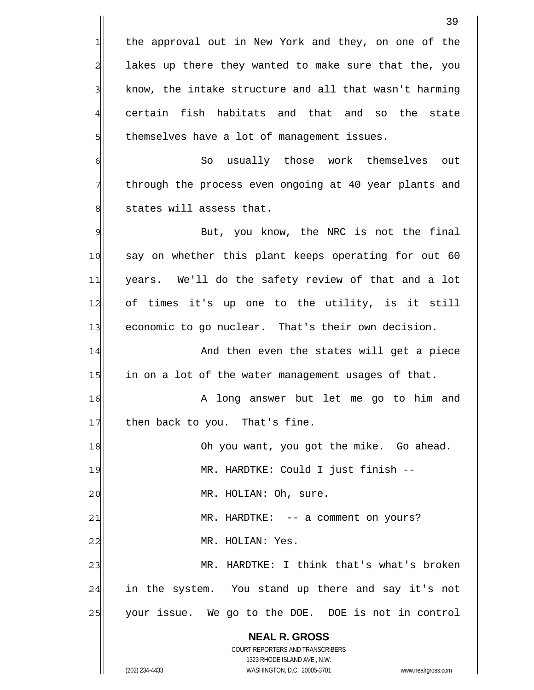**NEAL R. GROSS** COURT REPORTERS AND TRANSCRIBERS 1323 RHODE ISLAND AVE., N.W. (202) 234-4433 WASHINGTON, D.C. 20005-3701 www.nealrgross.com 39 1 2 3 4 5 6 7 8 9 10 11 12 13 14 15 16 17 18 19 20 21 22 23 24 25 the approval out in New York and they, on one of the lakes up there they wanted to make sure that the, you know, the intake structure and all that wasn't harming certain fish habitats and that and so the state themselves have a lot of management issues. So usually those work themselves out through the process even ongoing at 40 year plants and states will assess that. But, you know, the NRC is not the final say on whether this plant keeps operating for out 60 years. We'll do the safety review of that and a lot of times it's up one to the utility, is it still economic to go nuclear. That's their own decision. And then even the states will get a piece in on a lot of the water management usages of that. A long answer but let me go to him and then back to you. That's fine. Oh you want, you got the mike. Go ahead. MR. HARDTKE: Could I just finish -- MR. HOLIAN: Oh, sure. MR. HARDTKE: -- a comment on yours? MR. HOLIAN: Yes. MR. HARDTKE: I think that's what's broken in the system. You stand up there and say it's not your issue. We go to the DOE. DOE is not in control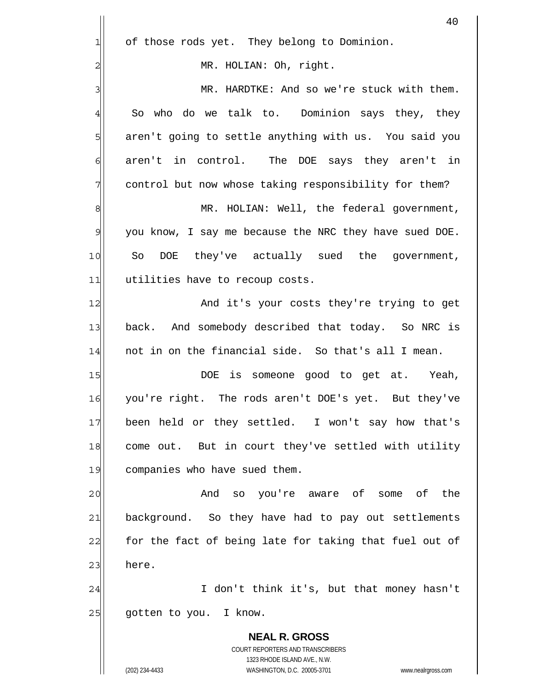|                | 40                                                                  |
|----------------|---------------------------------------------------------------------|
| $\mathbf{1}$   | of those rods yet. They belong to Dominion.                         |
| $\overline{c}$ | MR. HOLIAN: Oh, right.                                              |
| 3              | MR. HARDTKE: And so we're stuck with them.                          |
| 4              | So who do we talk to. Dominion says they, they                      |
| 5              | aren't going to settle anything with us. You said you               |
| 6              | aren't in control. The DOE says they aren't in                      |
| 7              | control but now whose taking responsibility for them?               |
| 8              | MR. HOLIAN: Well, the federal government,                           |
| 9              | you know, I say me because the NRC they have sued DOE.              |
| 10             | So<br>DOE they've actually sued the government,                     |
| 11             | utilities have to recoup costs.                                     |
| 12             | And it's your costs they're trying to get                           |
| 13             | back. And somebody described that today. So NRC is                  |
| 14             | not in on the financial side. So that's all I mean.                 |
| 15             | is someone good to get at. Yeah,<br>DOE                             |
| 16             | you're right. The rods aren't DOE's yet. But they've                |
| 17             | been held or they settled. I won't say how that's                   |
| 18             | come out. But in court they've settled with utility                 |
| 19             | companies who have sued them.                                       |
| 20             | And<br>the<br>you're aware of<br>some of<br>SO                      |
| 21             | background. So they have had to pay out settlements                 |
| 22             | for the fact of being late for taking that fuel out of              |
| 23             | here.                                                               |
| 24             | I don't think it's, but that money hasn't                           |
| 25             | gotten to you. I know.                                              |
|                | <b>NEAL R. GROSS</b>                                                |
|                | COURT REPORTERS AND TRANSCRIBERS<br>1323 RHODE ISLAND AVE., N.W.    |
|                | (202) 234-4433<br>WASHINGTON, D.C. 20005-3701<br>www.nealrgross.com |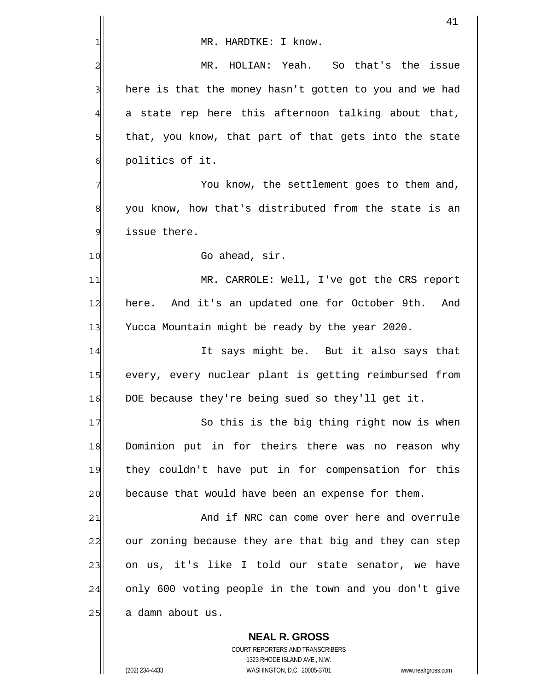|                | 41                                                       |
|----------------|----------------------------------------------------------|
| 1              | MR. HARDTKE: I know.                                     |
| $\overline{a}$ | HOLIAN: Yeah. So that's the issue<br>MR.                 |
| 3              | here is that the money hasn't gotten to you and we had   |
| $\overline{4}$ | a state rep here this afternoon talking about that,      |
| 5              | that, you know, that part of that gets into the state    |
| $\epsilon$     | politics of it.                                          |
| 7              | You know, the settlement goes to them and,               |
| 8              | you know, how that's distributed from the state is an    |
| 9              | issue there.                                             |
| 10             | Go ahead, sir.                                           |
| 11             | MR. CARROLE: Well, I've got the CRS report               |
| 12             | here. And it's an updated one for October 9th.<br>And    |
| 13             | Yucca Mountain might be ready by the year 2020.          |
| 14             | It says might be. But it also says that                  |
| 15             | every, every nuclear plant is getting reimbursed from    |
| 16             | DOE because they're being sued so they'll get it.        |
| 17             | So this is the big thing right now is when               |
| 18             | Dominion put in for theirs there was no reason why       |
| 19             | they couldn't have put in for compensation for this      |
| 20             | because that would have been an expense for them.        |
| 21             | And if NRC can come over here and overrule               |
| 22             | our zoning because they are that big and they can step   |
| 23             | on us, it's like I told our state senator, we have       |
| 24             | only 600 voting people in the town and you don't give    |
| 25             | a damn about us.                                         |
|                | <b>NEAL R. GROSS</b><br>COURT REPORTERS AND TRANSCRIBERS |

1323 RHODE ISLAND AVE., N.W.

 $\prod$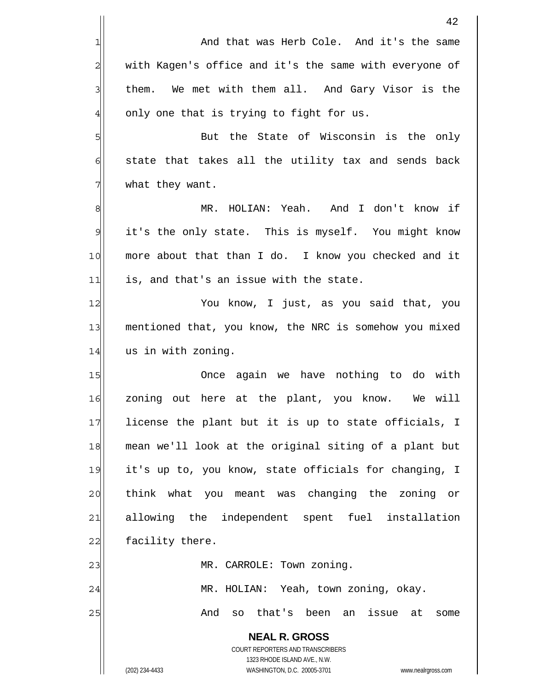**NEAL R. GROSS** COURT REPORTERS AND TRANSCRIBERS 1323 RHODE ISLAND AVE., N.W. (202) 234-4433 WASHINGTON, D.C. 20005-3701 www.nealrgross.com 42 1 2 3 4 5 6 7 8 9 10 11 12 13 14 15 16 17 18 19 20 21 22 23 24 25 And that was Herb Cole. And it's the same with Kagen's office and it's the same with everyone of them. We met with them all. And Gary Visor is the only one that is trying to fight for us. But the State of Wisconsin is the only state that takes all the utility tax and sends back what they want. MR. HOLIAN: Yeah. And I don't know if it's the only state. This is myself. You might know more about that than I do. I know you checked and it is, and that's an issue with the state. You know, I just, as you said that, you mentioned that, you know, the NRC is somehow you mixed us in with zoning. Once again we have nothing to do with zoning out here at the plant, you know. We will license the plant but it is up to state officials, I mean we'll look at the original siting of a plant but it's up to, you know, state officials for changing, I think what you meant was changing the zoning or allowing the independent spent fuel installation facility there. MR. CARROLE: Town zoning. MR. HOLIAN: Yeah, town zoning, okay. And so that's been an issue at some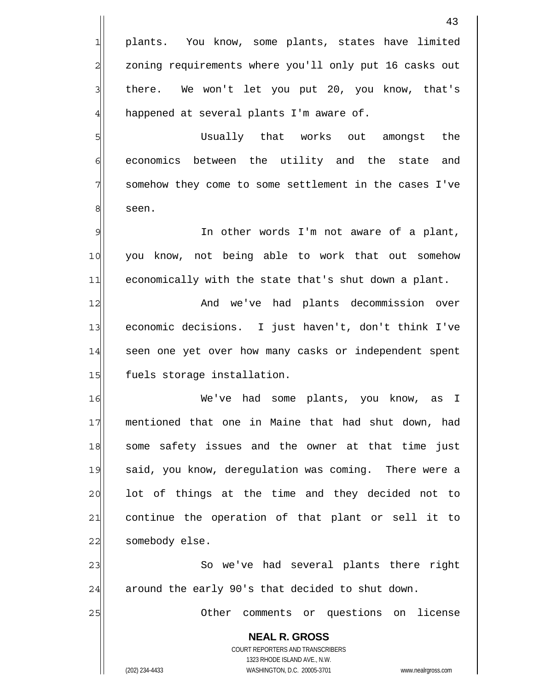**NEAL R. GROSS** COURT REPORTERS AND TRANSCRIBERS 1323 RHODE ISLAND AVE., N.W. (202) 234-4433 WASHINGTON, D.C. 20005-3701 www.nealrgross.com 43 1 2 3 4 5 6 7 8 9 10 11 12 13 14 15 16 17 18 19 20 21 22 23 24 25 plants. You know, some plants, states have limited zoning requirements where you'll only put 16 casks out there. We won't let you put 20, you know, that's happened at several plants I'm aware of. Usually that works out amongst the economics between the utility and the state and somehow they come to some settlement in the cases I've seen. In other words I'm not aware of a plant, you know, not being able to work that out somehow economically with the state that's shut down a plant. And we've had plants decommission over economic decisions. I just haven't, don't think I've seen one yet over how many casks or independent spent fuels storage installation. We've had some plants, you know, as I mentioned that one in Maine that had shut down, had some safety issues and the owner at that time just said, you know, deregulation was coming. There were a lot of things at the time and they decided not to continue the operation of that plant or sell it to somebody else. So we've had several plants there right around the early 90's that decided to shut down. Other comments or questions on license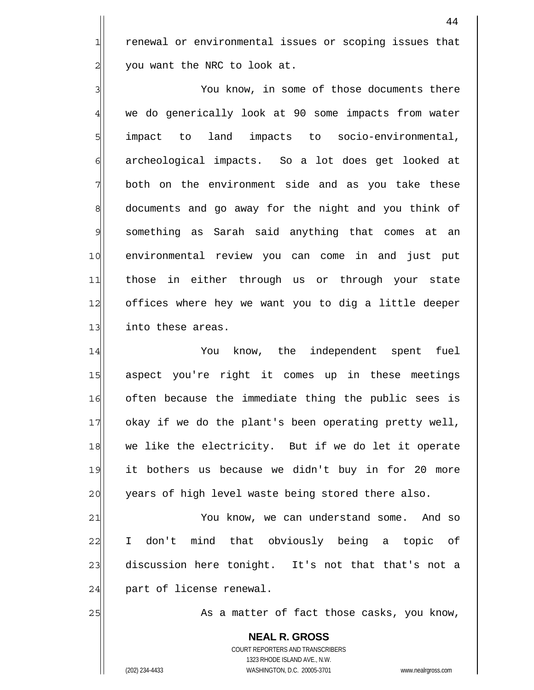renewal or environmental issues or scoping issues that you want the NRC to look at.

3 4 5 6 7 8 9 10 11 12 13 You know, in some of those documents there we do generically look at 90 some impacts from water impact to land impacts to socio-environmental, archeological impacts. So a lot does get looked at both on the environment side and as you take these documents and go away for the night and you think of something as Sarah said anything that comes at an environmental review you can come in and just put those in either through us or through your state offices where hey we want you to dig a little deeper into these areas.

14 15 16 17 18 19 20 You know, the independent spent fuel aspect you're right it comes up in these meetings often because the immediate thing the public sees is okay if we do the plant's been operating pretty well, we like the electricity. But if we do let it operate it bothers us because we didn't buy in for 20 more years of high level waste being stored there also.

21 22 23 24 You know, we can understand some. And so I don't mind that obviously being a topic of discussion here tonight. It's not that that's not a part of license renewal.

As a matter of fact those casks, you know,

**NEAL R. GROSS** COURT REPORTERS AND TRANSCRIBERS 1323 RHODE ISLAND AVE., N.W. (202) 234-4433 WASHINGTON, D.C. 20005-3701 www.nealrgross.com

25

1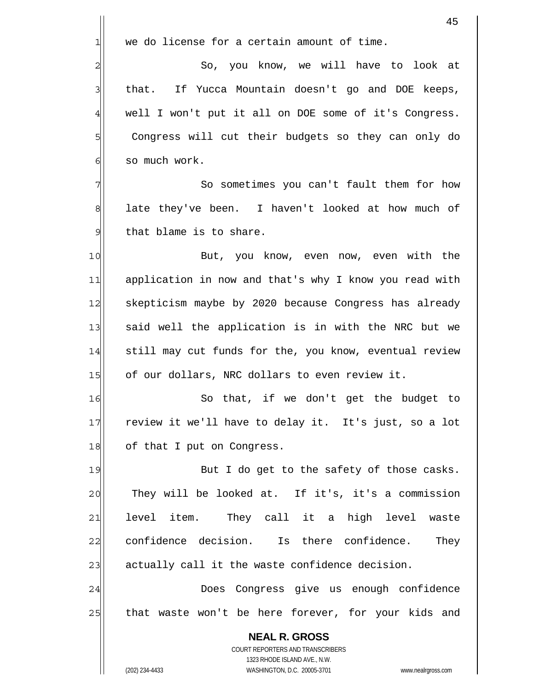|                 | 45                                                                                                  |
|-----------------|-----------------------------------------------------------------------------------------------------|
| 1               | we do license for a certain amount of time.                                                         |
| $\overline{c}$  | So, you know, we will have to look at                                                               |
| 3               | that. If Yucca Mountain doesn't go and DOE keeps,                                                   |
| 4               | well I won't put it all on DOE some of it's Congress.                                               |
| 5               | Congress will cut their budgets so they can only do                                                 |
| 6               | so much work.                                                                                       |
| 7               | So sometimes you can't fault them for how                                                           |
| 8               | late they've been. I haven't looked at how much of                                                  |
| $\mathcal{Q}$   | that blame is to share.                                                                             |
| 10              | But, you know, even now, even with the                                                              |
| 11              | application in now and that's why I know you read with                                              |
| 12              | skepticism maybe by 2020 because Congress has already                                               |
| 13              | said well the application is in with the NRC but we                                                 |
| 14              | still may cut funds for the, you know, eventual review                                              |
| 15              | of our dollars, NRC dollars to even review it.                                                      |
| 16              | that, if we don't get the budget to<br>So                                                           |
| 17              | review it we'll have to delay it. It's just, so a lot                                               |
| 18              | of that I put on Congress.                                                                          |
| 19              | But I do get to the safety of those casks.                                                          |
| 20              | They will be looked at. If it's, it's a commission                                                  |
| $\overline{21}$ | level item. They call it a high level waste                                                         |
| 22              | confidence decision. Is there confidence. They                                                      |
| 23              | actually call it the waste confidence decision.                                                     |
| 24              | Does Congress give us enough confidence                                                             |
| 25              | that waste won't be here forever, for your kids and                                                 |
|                 | <b>NEAL R. GROSS</b>                                                                                |
|                 | COURT REPORTERS AND TRANSCRIBERS                                                                    |
|                 | 1323 RHODE ISLAND AVE., N.W.<br>WASHINGTON, D.C. 20005-3701<br>(202) 234-4433<br>www.nealrgross.com |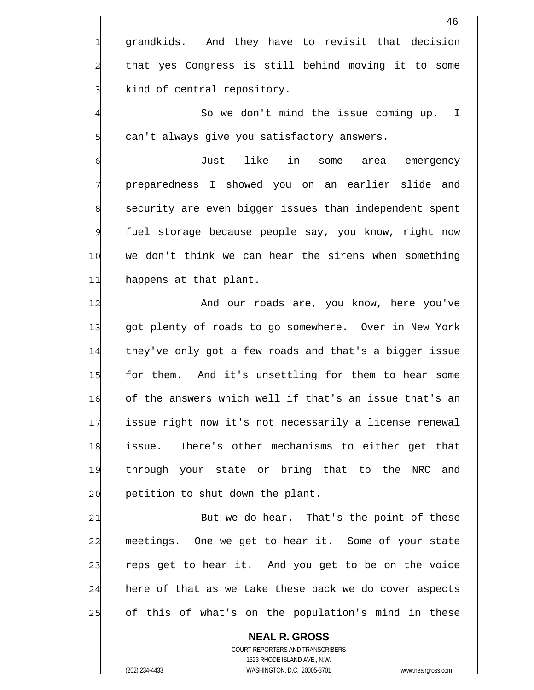46 1 2 3 4 5 6 7 8 9 10 11 12 13 14 15 16 17 18 19 20 21 22 23 24 grandkids. And they have to revisit that decision that yes Congress is still behind moving it to some kind of central repository. So we don't mind the issue coming up. I can't always give you satisfactory answers. Just like in some area emergency preparedness I showed you on an earlier slide and security are even bigger issues than independent spent fuel storage because people say, you know, right now we don't think we can hear the sirens when something happens at that plant. And our roads are, you know, here you've got plenty of roads to go somewhere. Over in New York they've only got a few roads and that's a bigger issue for them. And it's unsettling for them to hear some of the answers which well if that's an issue that's an issue right now it's not necessarily a license renewal issue. There's other mechanisms to either get that through your state or bring that to the NRC and petition to shut down the plant. But we do hear. That's the point of these meetings. One we get to hear it. Some of your state reps get to hear it. And you get to be on the voice here of that as we take these back we do cover aspects

of this of what's on the population's mind in these

**NEAL R. GROSS** COURT REPORTERS AND TRANSCRIBERS 1323 RHODE ISLAND AVE., N.W. (202) 234-4433 WASHINGTON, D.C. 20005-3701 www.nealrgross.com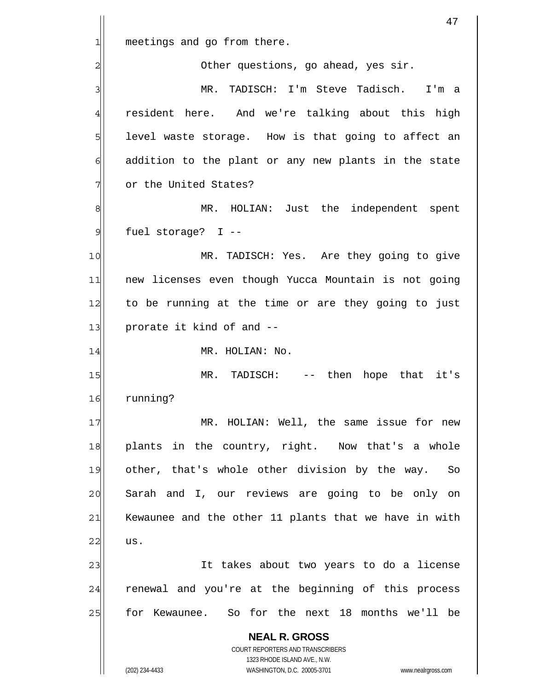|                | 47                                                                                                  |
|----------------|-----------------------------------------------------------------------------------------------------|
| 1              | meetings and go from there.                                                                         |
| $\overline{2}$ | Other questions, go ahead, yes sir.                                                                 |
| 3              | TADISCH: I'm Steve Tadisch. I'm a<br>MR.                                                            |
| 4              | resident here. And we're talking about this high                                                    |
| 5              | level waste storage. How is that going to affect an                                                 |
| 6              | addition to the plant or any new plants in the state                                                |
| 7              | or the United States?                                                                               |
| 8              | HOLIAN: Just the independent spent<br>MR.                                                           |
| $\mathcal{Q}$  | fuel storage? I --                                                                                  |
| 10             | MR. TADISCH: Yes. Are they going to give                                                            |
| 11             | new licenses even though Yucca Mountain is not going                                                |
| 12             | to be running at the time or are they going to just                                                 |
| 13             | prorate it kind of and --                                                                           |
| 14             | MR. HOLIAN: No.                                                                                     |
| 15             | MR. TADISCH:<br>then<br>hope that it's<br>$--$                                                      |
| 16             | running?                                                                                            |
| 17             | MR. HOLIAN: Well, the same issue for new                                                            |
| 18             | plants in the country, right. Now that's a whole                                                    |
| 19             | other, that's whole other division by the way. So                                                   |
| 20             | Sarah and I, our reviews are going to be only on                                                    |
| 21             | Kewaunee and the other 11 plants that we have in with                                               |
| 22             | us.                                                                                                 |
| 23             | It takes about two years to do a license                                                            |
| 24             | renewal and you're at the beginning of this process                                                 |
| 25             | for Kewaunee. So for the next 18 months we'll be                                                    |
|                | <b>NEAL R. GROSS</b><br>COURT REPORTERS AND TRANSCRIBERS                                            |
|                | 1323 RHODE ISLAND AVE., N.W.<br>(202) 234-4433<br>WASHINGTON, D.C. 20005-3701<br>www.nealrgross.com |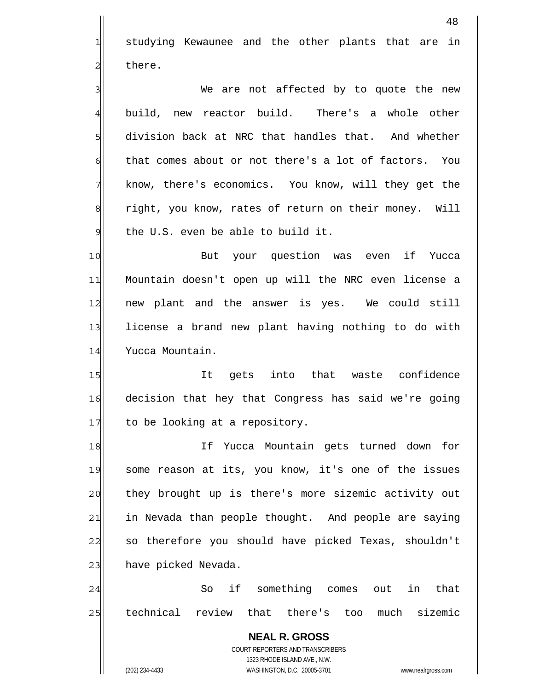**NEAL R. GROSS** COURT REPORTERS AND TRANSCRIBERS 48 1 2 3 4 5 6 7 8 9 10 11 12 13 14 15 16 17 18 19 20 21 22 23 24 25 studying Kewaunee and the other plants that are in there. We are not affected by to quote the new build, new reactor build. There's a whole other division back at NRC that handles that. And whether that comes about or not there's a lot of factors. You know, there's economics. You know, will they get the right, you know, rates of return on their money. Will the U.S. even be able to build it. But your question was even if Yucca Mountain doesn't open up will the NRC even license a new plant and the answer is yes. We could still license a brand new plant having nothing to do with Yucca Mountain. It gets into that waste confidence decision that hey that Congress has said we're going to be looking at a repository. If Yucca Mountain gets turned down for some reason at its, you know, it's one of the issues they brought up is there's more sizemic activity out in Nevada than people thought. And people are saying so therefore you should have picked Texas, shouldn't have picked Nevada. So if something comes out in that technical review that there's too much sizemic

1323 RHODE ISLAND AVE., N.W.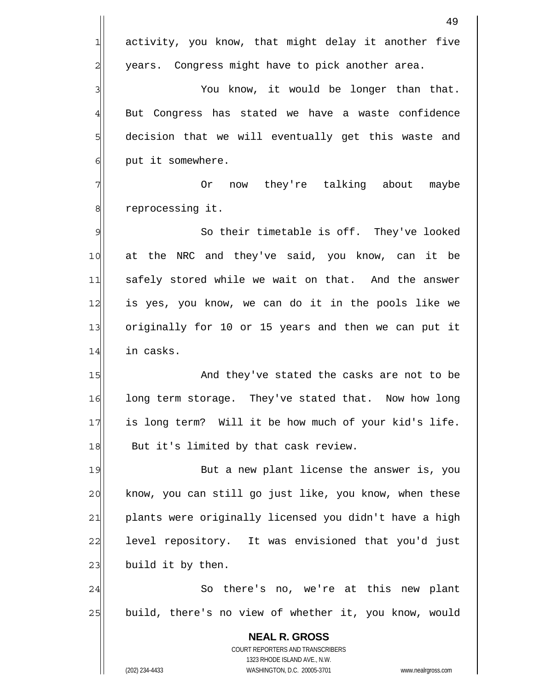|                | 49                                                                                                  |
|----------------|-----------------------------------------------------------------------------------------------------|
| 1              | activity, you know, that might delay it another five                                                |
| $\overline{c}$ | years. Congress might have to pick another area.                                                    |
| 3              | You know, it would be longer than that.                                                             |
| $\overline{4}$ | But Congress has stated we have a waste confidence                                                  |
| 5              | decision that we will eventually get this waste and                                                 |
| 6              | put it somewhere.                                                                                   |
| 7              | now they're talking about<br>maybe<br>0r                                                            |
| 8              | reprocessing it.                                                                                    |
| $\mathfrak{S}$ | So their timetable is off. They've looked                                                           |
| 10             | at the NRC and they've said, you know, can it be                                                    |
| 11             | safely stored while we wait on that. And the answer                                                 |
| 12             | is yes, you know, we can do it in the pools like we                                                 |
| 13             | originally for 10 or 15 years and then we can put it                                                |
| 14             | in casks.                                                                                           |
| 15             | And they've stated the casks are not to be                                                          |
| 16             | long term storage. They've stated that. Now how long                                                |
| 17             | is long term? Will it be how much of your kid's life.                                               |
| 18             | But it's limited by that cask review.                                                               |
| 19             | But a new plant license the answer is, you                                                          |
| 20             | know, you can still go just like, you know, when these                                              |
| 21             | plants were originally licensed you didn't have a high                                              |
| 22             | level repository. It was envisioned that you'd just                                                 |
| 23             | build it by then.                                                                                   |
| 24             | So there's no, we're at this new plant                                                              |
| 25             | build, there's no view of whether it, you know, would                                               |
|                | <b>NEAL R. GROSS</b>                                                                                |
|                | COURT REPORTERS AND TRANSCRIBERS                                                                    |
|                | 1323 RHODE ISLAND AVE., N.W.<br>(202) 234-4433<br>WASHINGTON, D.C. 20005-3701<br>www.nealrgross.com |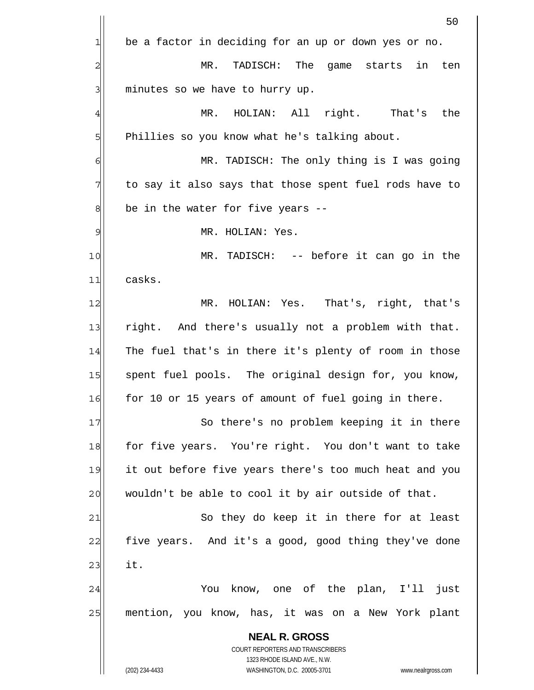|                | 50                                                          |
|----------------|-------------------------------------------------------------|
| 1              | be a factor in deciding for an up or down yes or no.        |
| $\overline{c}$ | TADISCH: The<br>$MR$ .<br>game starts in<br>ten             |
| 3              | minutes so we have to hurry up.                             |
| 4              | HOLIAN: All right. That's<br>the<br>MR.                     |
| 5              | Phillies so you know what he's talking about.               |
| 6              | MR. TADISCH: The only thing is I was going                  |
| 7              | to say it also says that those spent fuel rods have to      |
| 8              | be in the water for five years --                           |
| 9              | MR. HOLIAN: Yes.                                            |
| 10             | MR. TADISCH: -- before it can go in the                     |
| 11             | casks.                                                      |
| 12             | HOLIAN: Yes. That's, right, that's<br>MR.                   |
| 13             | right. And there's usually not a problem with that.         |
| 14             | The fuel that's in there it's plenty of room in those       |
| 15             | spent fuel pools. The original design for, you know,        |
| 16             | for 10 or 15 years of amount of fuel going in there.        |
| 17             | So there's no problem keeping it in there                   |
| 18             | for five years. You're right. You don't want to take        |
| 19             | it out before five years there's too much heat and you      |
| 20             | wouldn't be able to cool it by air outside of that.         |
| 21             | So they do keep it in there for at least                    |
| 22             | five years. And it's a good, good thing they've done        |
| 23             | it.                                                         |
| 24             | know, one of the plan, I'll just<br>You                     |
| 25             | mention, you know, has, it was on a New York plant          |
|                | <b>NEAL R. GROSS</b>                                        |
|                | COURT REPORTERS AND TRANSCRIBERS                            |
|                | 1323 RHODE ISLAND AVE., N.W.<br>WASHINGTON, D.C. 20005-3701 |
|                | (202) 234-4433<br>www.nealrgross.com                        |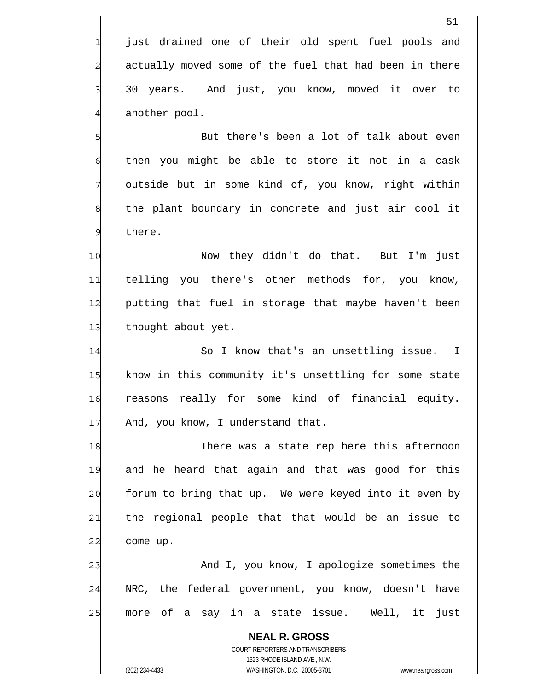just drained one of their old spent fuel pools and actually moved some of the fuel that had been in there 30 years. And just, you know, moved it over to another pool.

 But there's been a lot of talk about even then you might be able to store it not in a cask outside but in some kind of, you know, right within the plant boundary in concrete and just air cool it there.

10 11 12 13 Now they didn't do that. But I'm just telling you there's other methods for, you know, putting that fuel in storage that maybe haven't been thought about yet.

14 15 16 17 So I know that's an unsettling issue. I know in this community it's unsettling for some state reasons really for some kind of financial equity. And, you know, I understand that.

18 19 20 21 22 There was a state rep here this afternoon and he heard that again and that was good for this forum to bring that up. We were keyed into it even by the regional people that that would be an issue to come up.

23 24 25 And I, you know, I apologize sometimes the NRC, the federal government, you know, doesn't have more of a say in a state issue. Well, it just

**NEAL R. GROSS** COURT REPORTERS AND TRANSCRIBERS 1323 RHODE ISLAND AVE., N.W. (202) 234-4433 WASHINGTON, D.C. 20005-3701 www.nealrgross.com

1

2

3

4

5

6

7

8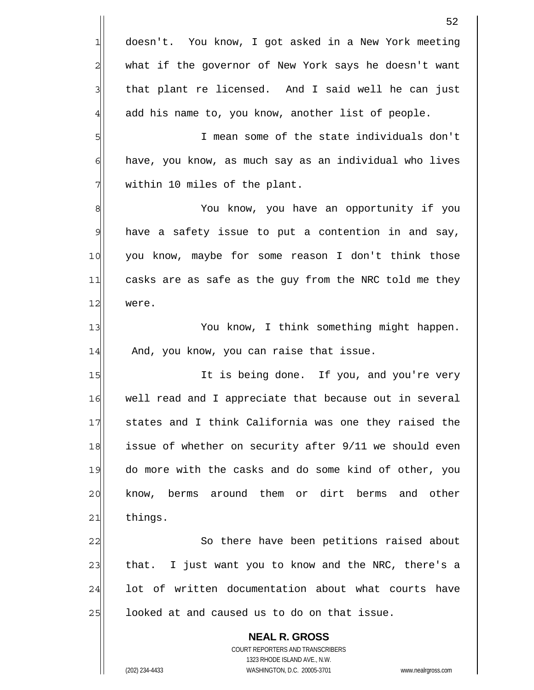|    | 52                                                                                                  |
|----|-----------------------------------------------------------------------------------------------------|
| 1  | doesn't. You know, I got asked in a New York meeting                                                |
| 2  | what if the governor of New York says he doesn't want                                               |
| 3  | that plant re licensed. And I said well he can just                                                 |
| 4  | add his name to, you know, another list of people.                                                  |
| 5  | I mean some of the state individuals don't                                                          |
| 6  | have, you know, as much say as an individual who lives                                              |
| 7  | within 10 miles of the plant.                                                                       |
| 8  | You know, you have an opportunity if you                                                            |
| 9  | have a safety issue to put a contention in and say,                                                 |
| 10 | you know, maybe for some reason I don't think those                                                 |
| 11 | casks are as safe as the guy from the NRC told me they                                              |
| 12 | were.                                                                                               |
| 13 | You know, I think something might happen.                                                           |
| 14 | And, you know, you can raise that issue.                                                            |
| 15 | It is being done. If you, and you're very                                                           |
| 16 | well read and I appreciate that because out in several                                              |
| 17 | states and I think California was one they raised the                                               |
| 18 | issue of whether on security after 9/11 we should even                                              |
| 19 | do more with the casks and do some kind of other, you                                               |
| 20 | know, berms around them or dirt berms<br>and other                                                  |
| 21 | things.                                                                                             |
| 22 | So there have been petitions raised about                                                           |
| 23 | I just want you to know and the NRC, there's a<br>that.                                             |
| 24 | lot of written documentation about what courts have                                                 |
| 25 | looked at and caused us to do on that issue.                                                        |
|    | <b>NEAL R. GROSS</b>                                                                                |
|    | COURT REPORTERS AND TRANSCRIBERS                                                                    |
|    | 1323 RHODE ISLAND AVE., N.W.<br>(202) 234-4433<br>WASHINGTON, D.C. 20005-3701<br>www.nealrgross.com |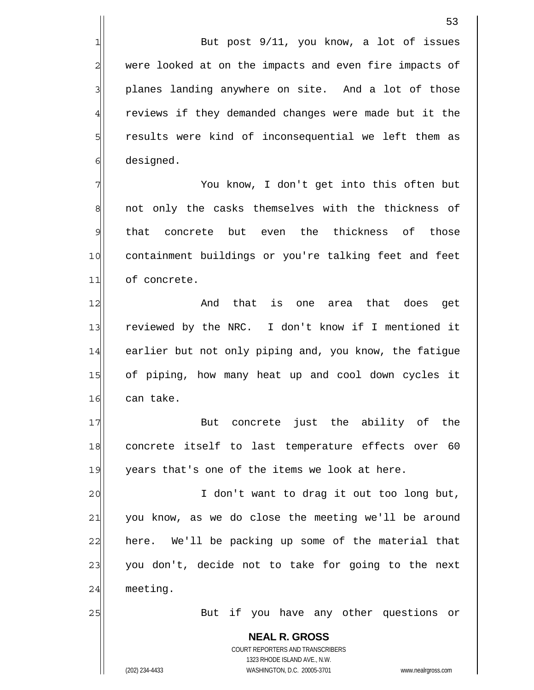But post 9/11, you know, a lot of issues were looked at on the impacts and even fire impacts of planes landing anywhere on site. And a lot of those reviews if they demanded changes were made but it the results were kind of inconsequential we left them as designed.

7 8 9 10 11 You know, I don't get into this often but not only the casks themselves with the thickness of that concrete but even the thickness of those containment buildings or you're talking feet and feet of concrete.

12 13 14 15 16 And that is one area that does get reviewed by the NRC. I don't know if I mentioned it earlier but not only piping and, you know, the fatigue of piping, how many heat up and cool down cycles it can take.

17 18 19 But concrete just the ability of the concrete itself to last temperature effects over 60 years that's one of the items we look at here.

20 21 22 23 24 I don't want to drag it out too long but, you know, as we do close the meeting we'll be around here. We'll be packing up some of the material that you don't, decide not to take for going to the next meeting.

But if you have any other questions or

**NEAL R. GROSS** COURT REPORTERS AND TRANSCRIBERS 1323 RHODE ISLAND AVE., N.W. (202) 234-4433 WASHINGTON, D.C. 20005-3701 www.nealrgross.com

25

1

2

3

4

5